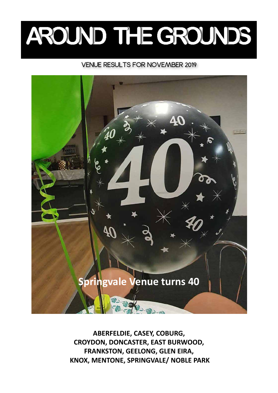# AROUND THE GROUNDS

## VENUE RESULTS FOR NOVEMBER 2019



**ABERFELDIE, CASEY, COBURG, CROYDON, DONCASTER, EAST BURWOOD, FRANKSTON, GEELONG, GLEN EIRA, KNOX, MENTONE, SPRINGVALE/ NOBLE PARK**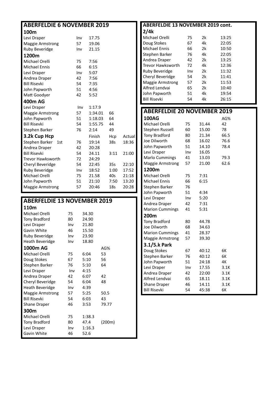| <b>ABERFELDIE 6 NOVEMBER 2019</b> |     |         |                 |        |  |  |  |  |
|-----------------------------------|-----|---------|-----------------|--------|--|--|--|--|
| 100m                              |     |         |                 |        |  |  |  |  |
| Levi Draper                       | Inv | 17.75   |                 |        |  |  |  |  |
| <b>Maggie Armstrong</b>           | 57  | 19.06   |                 |        |  |  |  |  |
| Ruby Beveridge                    | Inv | 21.15   |                 |        |  |  |  |  |
| 1200m                             |     |         |                 |        |  |  |  |  |
| Michael Orelli                    | 75  | 7:56    |                 |        |  |  |  |  |
| <b>Michael Ennis</b>              | 66  | 6:15    |                 |        |  |  |  |  |
| Levi Draper                       | Inv | 5:07    |                 |        |  |  |  |  |
| Andrea Draper                     | 42  | 7:56    |                 |        |  |  |  |  |
| <b>Bill Risevki</b>               | 54  | 7:35    |                 |        |  |  |  |  |
| John Papworth                     | 51  | 4:56    |                 |        |  |  |  |  |
| Matt Goodyer                      | 42  | 5:52    |                 |        |  |  |  |  |
| 400m AG                           |     |         |                 |        |  |  |  |  |
| Levi Draper                       | Inv | 1:17.9  |                 |        |  |  |  |  |
| Maggie Armstrong                  | 57  | 1:34.01 | 66              |        |  |  |  |  |
| John Papworth                     | 51  | 1:18.03 | 64              |        |  |  |  |  |
| <b>Bill Risevki</b>               | 54  | 1:55.75 | 44              |        |  |  |  |  |
| Stephen Barker                    | 76  | 2:14    | 49              |        |  |  |  |  |
| 3.2k Cup Hcp                      |     | Finish  | Hcp             | Actual |  |  |  |  |
| Stephen Barker<br>1st             | 76  | 19:14   | 38s             | 18:36  |  |  |  |  |
| Andrea Draper                     | 42  | 20:28   |                 |        |  |  |  |  |
| <b>Bill Risevki</b>               | 54  | 24.11   | 3:11            | 21:00  |  |  |  |  |
| Trevor Hawksworth                 | 72  | 24:29   |                 |        |  |  |  |  |
| Cheryl Beveridge                  | 54  | 22:45   | 35s             | 22:10  |  |  |  |  |
| Ruby Beveridge                    | Inv | 18:52   | 1:00            | 17:52  |  |  |  |  |
| Michael Orelli                    | 75  | 21.58   | 40s             | 21:18  |  |  |  |  |
| John Papworth                     | 51  | 21:10   | 7:50            | 13:20  |  |  |  |  |
| <b>Maggie Armstrong</b>           | 57  | 20:46   | 18 <sub>s</sub> | 20:28  |  |  |  |  |

| <b>ABERFELDIE 13 NOVEMBER 2019</b> |     |        |        |  |  |  |  |
|------------------------------------|-----|--------|--------|--|--|--|--|
| 110m                               |     |        |        |  |  |  |  |
| Michael Orelli                     | 75  | 34.30  |        |  |  |  |  |
| Tony Bradford                      | 80  | 24.90  |        |  |  |  |  |
| Levi Draper                        | Inv | 21.80  |        |  |  |  |  |
| Gavin White                        | 46  | 15.50  |        |  |  |  |  |
| Ruby Beveridge                     | Inv | 23.90  |        |  |  |  |  |
| Heath Beveridge                    | Inv | 18.80  |        |  |  |  |  |
| 1000m AG                           |     |        | AG%    |  |  |  |  |
| Michael Orelli                     | 75  | 6:04   | 53     |  |  |  |  |
| Doug Stokes                        | 67  | 5:10   | 56     |  |  |  |  |
| Stephen Barker                     | 76  | 5:10   | 64     |  |  |  |  |
| Levi Draper                        | Inv | 4:15   |        |  |  |  |  |
| Andrea Draper                      | 42  | 6:07   | 42     |  |  |  |  |
| Cheryl Beveridge                   | 54  | 6:04   | 48     |  |  |  |  |
| <b>Heath Beveridge</b>             | Inv | 4:39   |        |  |  |  |  |
| Maggie Armstrong                   | 57  | 5:25   | 50.5   |  |  |  |  |
| <b>Bill Risevki</b>                | 54  | 6:03   | 43     |  |  |  |  |
| Shane Draper                       | 46  | 3:53   | 79.77  |  |  |  |  |
| 300m                               |     |        |        |  |  |  |  |
| Michael Orelli                     | 75  | 1:38.3 |        |  |  |  |  |
| <b>Tony Bradford</b>               | 80  | 47.4   | (200m) |  |  |  |  |
| Levi Draper                        | Inv | 1:16.3 |        |  |  |  |  |
| Gavin White                        | 46  | 52.6   |        |  |  |  |  |

| <b>ABERFELDIE 13 NOVEMBER 2019 cont.</b> |     |       |       |  |  |  |  |
|------------------------------------------|-----|-------|-------|--|--|--|--|
| 2/4k                                     |     |       |       |  |  |  |  |
| Michael Orelli                           | 75  | 2k    | 13:25 |  |  |  |  |
| Doug Stokes                              | 67  | 4k    | 22:05 |  |  |  |  |
| <b>Michael Ennis</b>                     | 66  | 2k    | 10:50 |  |  |  |  |
| Stephen Barker                           | 76  | 4k    | 22:05 |  |  |  |  |
| Andrea Draper                            | 42  | 2k    | 13:25 |  |  |  |  |
| <b>Trevor Hawksworth</b>                 | 72  | 4k    | 12:36 |  |  |  |  |
| Ruby Beveridge                           | Inv | 2k    | 11:32 |  |  |  |  |
| Cheryl Beveridge                         | 54  | 2k    | 11:41 |  |  |  |  |
| <b>Maggie Armstrong</b>                  | 57  | 2k    | 11:53 |  |  |  |  |
| Alfred Lendvai                           | 65  | 2k    | 10:40 |  |  |  |  |
| John Papworth                            | 51  | 4k    | 19:54 |  |  |  |  |
| <b>Bill Risevki</b>                      | 54  | 4k    | 26:15 |  |  |  |  |
|                                          |     |       |       |  |  |  |  |
| <b>ABERFELDIE 20 NOVEMBER 2019</b>       |     |       |       |  |  |  |  |
| <b>100AG</b>                             |     |       | AG%   |  |  |  |  |
| Michael Orelli                           | 75  | 31.44 | 42    |  |  |  |  |
| Stephen Russell                          | 60  | 15.00 | 78    |  |  |  |  |
| <b>Tony Bradford</b>                     | 80  | 21.34 | 66.5  |  |  |  |  |
| Joe Dilworth                             | 68  | 16.02 | 76.6  |  |  |  |  |
| John Papworth                            | 51  | 14.10 | 78.4  |  |  |  |  |
| Levi Draper                              | Inv | 16.05 |       |  |  |  |  |
| <b>Marlo Cummings</b>                    | 41  | 13.03 | 79.3  |  |  |  |  |
| <b>Maggie Armstrong</b>                  | 57  | 21.00 | 62.6  |  |  |  |  |
|                                          |     |       |       |  |  |  |  |
| 1200m                                    |     |       |       |  |  |  |  |
| Michael Orelli                           | 75  | 7:31  |       |  |  |  |  |
| <b>Michael Ennis</b>                     | 66  | 6:15  |       |  |  |  |  |
| Stephen Barker                           | 76  |       |       |  |  |  |  |
| John Papworth                            | 51  | 4:34  |       |  |  |  |  |
| Levi Draper                              | Inv | 5:20  |       |  |  |  |  |
| Andrea Draper                            | 42  | 7:31  |       |  |  |  |  |
| <b>Marion Cummings</b>                   | 41  | 5:31  |       |  |  |  |  |
| 200m                                     |     |       |       |  |  |  |  |
| <b>Tony Bradford</b>                     | 80  | 44.78 |       |  |  |  |  |
| Joe Dilworth                             | 68  | 34.63 |       |  |  |  |  |
| <b>Marion Cummings</b>                   | 41  | 28.37 |       |  |  |  |  |
| <b>Maggie Armstrong</b>                  | 57  | 39.30 |       |  |  |  |  |
| 3.1/5.k Park                             |     |       |       |  |  |  |  |
| Doug Stokes                              | 67  | 40:12 | 6K    |  |  |  |  |
| Stephen Barker                           | 76  | 40:12 | 6K    |  |  |  |  |
| John Papworth                            | 51  | 24:18 | 4К    |  |  |  |  |
| Levi Draper                              | Inv | 17.55 | 3.1K  |  |  |  |  |
| Andrea Draper                            | 42  | 22:00 | 3.1K  |  |  |  |  |
| Alfred Lendvai                           | 65  | 18.11 | 3.1K  |  |  |  |  |
| Shane Draper                             | 46  | 14.11 | 3.1K  |  |  |  |  |
| <b>Bill Risevki</b>                      | 54  | 45:38 | 6K    |  |  |  |  |
|                                          |     |       |       |  |  |  |  |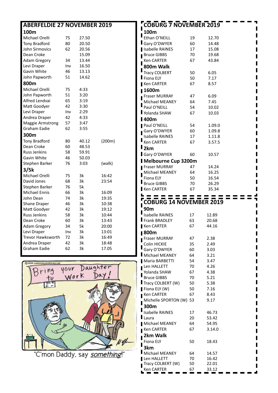| <b>ABERFELDIE 27 NOVEMBER 2019</b> |     |       |        | <b>COBURG 7 NOVEMBER 2019</b>                           |
|------------------------------------|-----|-------|--------|---------------------------------------------------------|
| 100m                               |     |       |        | 100m                                                    |
| Michael Orelli                     | 75  | 27.50 |        | Ethan O'NEILL<br>19<br>12.70                            |
| Tony Bradford                      | 80  | 20.50 |        | Gary O'DWYER<br>60<br>14.48                             |
| John Sirmovics                     | 62  | 20.56 |        | Isabelle RAINES<br>17<br>15.08                          |
| Dean Croke                         |     | 15.09 |        | 70<br><b>Bruce GIBBS</b><br>19.68                       |
| <b>Adam Gregory</b>                | 34  | 13.44 |        | 67<br>Ken CARTER<br>43.84                               |
| Levi Draper                        | Inv | 16.50 |        | 800m Walk                                               |
| Gavin White                        | 46  | 13.13 |        | <b>Tracy COLBERT</b><br>50<br>6.05                      |
| John Papworth                      | 51  | 14.62 |        | Fiona ELY<br>50<br>7.17                                 |
| 800m                               |     |       |        | Ken CARTER<br>67<br>8.57                                |
| Michael Orelli                     | 75  | 4:33  |        | <b>■1600m</b>                                           |
| John Papworth                      | 51  | 3:20  |        | 6.09<br>Fraser MURRAY<br>47                             |
| Alfred Lendvai                     | 65  | 3:19  |        | Michael MEANEY<br>64<br>7.45                            |
| Matt Goodyer                       | 42  | 3:30  |        | Paul O'NEILL<br>54<br>10.02                             |
| Levi Draper                        | Inv | 2:29  |        | Yolanda SHAW<br>67<br>10.03                             |
| Andrea Draper                      | 42  | 4:33  |        | <b>1400m</b>                                            |
| <b>Maggie Armstrong</b>            | 57  | 3:47  |        | Paul O'NEILL<br>54<br>1.09.0                            |
| Graham Eadie                       | 62  | 3:55  |        | Gary O'DWYER<br>60<br>1.09.8                            |
| 300m                               |     |       |        | <b>Isabelle RAINES</b><br>17<br>1.11.8                  |
| <b>Tony Bradford</b>               | 80  | 40.12 | (200m) | <b>Ken CARTER</b><br>67<br>3.57.5                       |
| Dean Croke                         | 60  | 48.53 |        | $\mathsf{I}_{2\mathsf{k}\mathsf{m}}$                    |
| Russ Jenkins                       | 58  | 59.91 |        | Gary O'DWYER<br>60<br>10.57                             |
| Gavin White                        | 46  | 50.03 |        | Melbourne Cup 3200m                                     |
| Stephen Barker                     | 76  | 3:03  | (walk) | 47                                                      |
| 3/5k                               |     |       |        | Fraser MURRAY<br>14.24<br>Michael MEANEY<br>64<br>16.25 |
| Michael Orelli                     | 75  | 3k    | 16:42  | <b>Fiona ELY</b><br>50<br>16.54                         |
| David Jones                        | 68  | 3k    | 23:54  | <b>Bruce GIBBS</b><br>70<br>26.29                       |
| Stephen Barker                     | 76  | 5k    |        | Ken CARTER<br>67<br>35.34                               |
| Michael Ennis                      | 66  | 3k    | 16:09  |                                                         |
| John Dean                          | 74  | 3k    | 19:35  |                                                         |
| Shane Draper                       | 46  | 3k    | 10:38  | <b>COBURG 14 NOVEMBER 2019</b>                          |
| Matt Goodyer                       | 42  | 3k    | 19:12  | 90 <sub>m</sub>                                         |
| Russ Jenkins                       | 58  | 3k    | 10:44  | <b>Isabelle RAINES</b><br>17<br>12.89                   |
| Dean Croke                         | 60  | 3k    | 13:43  | Frank BRADLEY<br>63<br>20.68                            |
| <b>Adam Gregory</b>                | 34  | 5k    | 20:00  | Ken CARTER<br>67<br>44.16                               |
| Levi Draper                        | Inv | 3k    | 13:01  | <b>■800m</b>                                            |
| Trevor Hawksworth                  | 72  | 3k    | 16:49  | Fraser MURRAY<br>47<br>2.38                             |
| Andrea Draper                      | 42  | 3k    | 18:48  | Colin HICKIE<br>35<br>2.49                              |
| Graham Eadie                       | 62  | 3k    | 17.05  | Gary O'DWYER<br>60<br>3.03                              |
|                                    |     |       |        | Michael MEANEY<br>64<br>3.21                            |
|                                    |     |       |        | 54<br>3.47<br>Maria BARBETTI                            |

Len HALLETT 70 4.26 Yolanda SHAW 67 4.38 Bruce GIBBS 70 5.21 Tracy COLBERT (W) 50 5.38 **Fiona ELY (W)** 50 7.16 Ken CARTER 67 8.43 Michelle SPORTON (W) 53 9.17

 $\blacksquare$ п

I П

Г I

╡

I Ī I

I

Г

I

П ľ

П

I

Г

Г  $\blacksquare$ 

z

Isabelle RAINES 17 46.73 Laura 20 53.42 Michael MEANEY 64 54.95 **Ken CARTER** 67 3.14.0

Fiona ELY 50 18.43

Michael MEANEY 64 14.57<br>
Len HALLETT 70 16.42 Len HALLETT 70 16.42<br>Tracy COLBERT (W) 50 22.01

Ken CARTER 67 33.12

Tracy COLBERT  $(W)$  50

**300m** 

I

П

Ī

**2km Walk** 

**3km** 

I

 $\blacksquare$ 



'C'mon Daddy, say *something*!'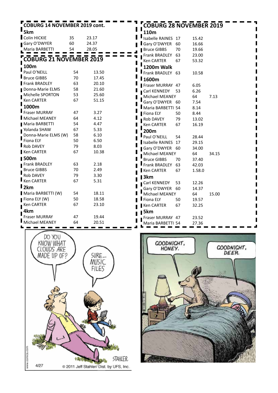| <b>COBURG 14 NOVEMBER 2019 cont.</b> | <b>COBURG 28 NOVEMBER 2019</b> |       |                    |    |        |       |
|--------------------------------------|--------------------------------|-------|--------------------|----|--------|-------|
| $\blacksquare$ 5km                   |                                |       | 110m               |    |        |       |
| Colin HICKIE                         | 35                             | 23.17 | Isabelle RAINES 17 |    | 15.42  |       |
| Gary O'DWYER                         | 60                             | 24.37 | Gary O'DWYER       | 60 | 16.66  |       |
| Maria BARBETTI                       | 54                             | 28.05 | <b>Bruce GIBBS</b> | 70 | 19.66  |       |
|                                      |                                |       | Frank BRADLEY      | 63 | 23.00  |       |
| <b>COBURG 21 NOVEMBER 2019</b>       |                                |       | Ken CARTER         | 67 | 53.32  |       |
| 100m                                 |                                |       | 1200m Walk         |    |        |       |
| Paul O'NEILL                         | 54                             | 13.50 | Frank BRADLEY 63   |    | 10.58  |       |
| Bruce GIBBS                          | 70                             | 17.45 | l 1600m            |    |        |       |
| Frank BRADLEY                        | 63                             | 20.10 | Fraser MURRAY 47   |    | 6.05   |       |
| Donna-Marie ELMS                     | 58                             | 21.60 | Carl KENNEDY       | 53 | 6.26   |       |
| Michelle SPORTON                     | 53                             | 25.60 | Michael MEANEY     |    | 64     | 7.13  |
| Ken CARTER                           | 67                             | 51.15 | Gary O'DWYER 60    |    | 7.54   |       |
| 1000m                                |                                |       | Maria BARBETTI 54  |    | 8.14   |       |
| <b>Fraser MURRAY</b>                 | 47                             | 3.27  | Fiona ELY          | 50 | 8.44   |       |
| Michael MEANEY                       | 64                             | 4.12  | Rob DAVEY          | 79 | 13.02  |       |
| Maria BARBETTI                       | 54                             | 4.47  | Ken CARTER         | 67 | 16.19  |       |
| ■ Yolanda SHAW                       | 67                             | 5.33  | 200m               |    |        |       |
| Donna-Marie ELMS (W)                 | 58                             | 6.10  | Paul O'NEILL       | 54 | 28.44  |       |
| Fiona ELY                            | 50                             | 6.50  | Isabelle RAINES 17 |    | 29.15  |       |
| Rob DAVEY                            | 79                             | 8.03  | Gary O'DWYER 60    |    | 34.00  |       |
| Ken CARTER                           | 67                             | 10.38 | Michael MEANEY     |    | 64     | 34.15 |
| <b>1500m</b>                         |                                |       | <b>Bruce GIBBS</b> | 70 | 37.40  |       |
| Frank BRADLEY                        | 63                             | 2.18  | Frank BRADLEY      | 63 | 42.03  |       |
| <b>Bruce GIBBS</b>                   | 70                             | 2.49  | Ken CARTER         | 67 | 1.58.0 |       |
| Rob DAVEY                            | 79                             | 3.30  | $\blacksquare$ 3km |    |        |       |
| Ken CARTER                           | 67                             | 5.31  | Carl KENNEDY       | 53 | 12.26  |       |
| $\mathbf{I}_{2km}$                   |                                |       | Gary O'DWYER 60    |    | 14.37  |       |
| Maria BARBETTI (W)                   | 54                             | 18.11 | Michael MEANEY     |    | 64     | 15.00 |
| Fiona ELY (W)                        | 50                             | 18.58 | Fiona ELY          | 50 | 19.57  |       |
| ■ Ken CARTER                         | 67                             | 23.10 | Ken CARTER         | 67 | 32.25  |       |
| 4km                                  |                                |       | 5km                |    |        |       |
| <b>Fraser MURRAY</b>                 | 47                             | 19.44 | Fraser MURRAY 47   |    | 23.52  |       |
| Michael MEANEY                       | 64                             | 20.51 | Maria BARBETTI 54  |    | 27.36  |       |



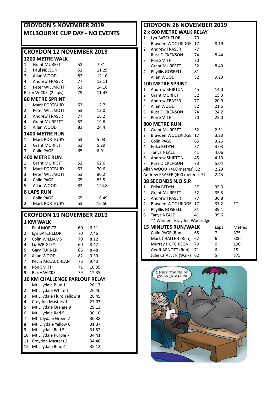| <b>CROYDON 5 NOVEMBER 2019</b><br><b>MELBOURNE CUP DAY - NO EVENTS</b> |                                     |    |       |  |  |  |  |  |
|------------------------------------------------------------------------|-------------------------------------|----|-------|--|--|--|--|--|
| <b>CROYDON 12 NOVEMBER 2019</b>                                        |                                     |    |       |  |  |  |  |  |
| <b>1200 METRE WALK</b>                                                 |                                     |    |       |  |  |  |  |  |
| 1                                                                      | <b>Grant MURFETT</b>                | 52 | 7.31  |  |  |  |  |  |
| 2                                                                      | Paul NELSON                         | 52 | 11.29 |  |  |  |  |  |
| 3                                                                      | Allan WOOD                          | 82 | 12.10 |  |  |  |  |  |
| 4                                                                      | Andrew FRASER                       | 77 | 12.11 |  |  |  |  |  |
| 5                                                                      | Peter WILLMOTT                      | 53 | 14.16 |  |  |  |  |  |
|                                                                        | 11.43<br>Barry WICKS (2 laps)<br>79 |    |       |  |  |  |  |  |
|                                                                        | <b>80 METRE SPRINT</b>              |    |       |  |  |  |  |  |
| 1                                                                      | Mark PORTBURY                       | 53 | 12.7  |  |  |  |  |  |
| 2                                                                      | Peter WILLMOTT                      | 53 | 13.0  |  |  |  |  |  |
| 3                                                                      | Andrew FRASER                       | 77 | 16.2  |  |  |  |  |  |
| 4                                                                      | Grant MURFETT                       | 52 | 19.6  |  |  |  |  |  |
| 5                                                                      | Allan WOOD                          | 83 | 24.4  |  |  |  |  |  |
|                                                                        | <b>1400 METRE RUN</b>               |    |       |  |  |  |  |  |
| 1                                                                      | Mark PORTBURY                       | 53 | 5.03  |  |  |  |  |  |
| 2                                                                      | <b>Grant MURFETT</b>                | 52 | 5.29  |  |  |  |  |  |
| 3                                                                      | Colin PAGE                          | 65 | 6.01  |  |  |  |  |  |
|                                                                        | <b>400 METRE RUN</b>                |    |       |  |  |  |  |  |
| 1                                                                      | <b>Grant MURFETT</b>                | 52 | 62.6  |  |  |  |  |  |
| 2                                                                      | Mark PORTBURY                       | 53 | 70.6  |  |  |  |  |  |
| 3                                                                      | Peter WILLMOTT                      | 53 | 80.2  |  |  |  |  |  |
| 4                                                                      | Colin PAGE                          | 65 | 85.5  |  |  |  |  |  |
| 5                                                                      | Allan WOOD                          | 82 | 124.8 |  |  |  |  |  |

#### Allan WOOD 82 124.8 **8 LAPS RUN**<br>1 Colin PAGE Colin PAGE 65 16.49 Mark PORTBURY

## **CROYDON 19 NOVEMBER 2019**

|              | 1 KM WALK                            |    |       |  |  |  |  |  |  |
|--------------|--------------------------------------|----|-------|--|--|--|--|--|--|
| $\mathbf{1}$ | Paul MORITZ                          | 60 | 6.31  |  |  |  |  |  |  |
| 2            | Lyn BATCHELOR                        | 70 | 7.46  |  |  |  |  |  |  |
| 3            | Colin WILLIAMS                       | 70 | 8.12  |  |  |  |  |  |  |
| 4            | Liz WRIGLEY                          | 60 | 8.47  |  |  |  |  |  |  |
| 5            | <b>Gary TURNER</b>                   | 66 | 8.48  |  |  |  |  |  |  |
| 6            | Allan WOOD                           | 82 | 9.39  |  |  |  |  |  |  |
| 7            | <b>Kevin McLAUCHLAN</b>              | 76 | 9.40  |  |  |  |  |  |  |
| 8            | <b>Ron SMITH</b>                     | 71 | 10.35 |  |  |  |  |  |  |
| 9            | <b>Barry WICKS</b>                   | 79 | 12.35 |  |  |  |  |  |  |
|              | <b>10 KM CHALLENGE PARLOUF RELAY</b> |    |       |  |  |  |  |  |  |
| 1            | Mt Lilydale Blue 1                   |    | 26.17 |  |  |  |  |  |  |
| 2            | Mt Lilydale White 1                  |    | 26.40 |  |  |  |  |  |  |
| 3            | Mt Lilydale Fluro Yellow 8           |    | 26.45 |  |  |  |  |  |  |
| 4            | Croydon Masters 1                    |    | 27.03 |  |  |  |  |  |  |
| 5            | Mt Lilydale Orange 9                 |    | 29.13 |  |  |  |  |  |  |
| 6            | Mt Lilydale Red 5                    |    | 30.10 |  |  |  |  |  |  |
| 7            | Mt. Lilydale Green 2                 |    | 30.38 |  |  |  |  |  |  |
| 8            | Mt Lilydale Yellow 6                 |    | 31.37 |  |  |  |  |  |  |
| 9            | Mt Lilydale Red 5                    |    | 31.52 |  |  |  |  |  |  |
| 10           | Mt Lilydale Purple 7                 |    | 34.41 |  |  |  |  |  |  |
| 11           | Croydon Masters 2                    |    | 34.46 |  |  |  |  |  |  |
|              |                                      |    |       |  |  |  |  |  |  |
| 12           | Mt Lilydale Blue 4                   |    | 35.12 |  |  |  |  |  |  |

|                         | <b>CROYDON 26 NOVEMBER 2019</b> |    |      |               |  |  |  |  |
|-------------------------|---------------------------------|----|------|---------------|--|--|--|--|
|                         | 2 x 600 METRE WALK RELAY        |    |      |               |  |  |  |  |
| 1                       | Lyn BATCHELOR                   | 70 |      |               |  |  |  |  |
|                         | Brayden WOOLRIDGE               | 17 | 8.19 |               |  |  |  |  |
| 2                       | <b>Andrew FRASER</b>            | 77 |      |               |  |  |  |  |
|                         | <b>Russ DICKENSON</b>           | 74 | 8.44 |               |  |  |  |  |
| 3                       | <b>Ron SMITH</b>                | 70 |      |               |  |  |  |  |
|                         | <b>Grant MURFETT</b>            | 52 | 8.49 |               |  |  |  |  |
| 4                       | Phylllis GOSBELL                | 81 |      |               |  |  |  |  |
|                         | Allan WOOD                      | 82 | 9.23 |               |  |  |  |  |
|                         | <b>100 METRE SPRINT</b>         |    |      |               |  |  |  |  |
| 1                       | <b>Andrew SHIPTON</b>           | 45 | 14.0 |               |  |  |  |  |
| $\overline{c}$          | <b>Grant MURFETT</b>            | 52 | 15.3 |               |  |  |  |  |
| 3                       | <b>Andrew FRASER</b>            | 77 | 20.9 |               |  |  |  |  |
| 4                       | Allan WOOD                      | 82 | 21.6 |               |  |  |  |  |
| 5                       | <b>Russ DICKENSON</b>           | 74 | 24.2 |               |  |  |  |  |
| 6                       | <b>Ron SMITH</b>                | 70 | 25.0 |               |  |  |  |  |
|                         | 800 METRE RUN                   |    |      |               |  |  |  |  |
| $\mathbf{1}$            | <b>Grant MURFETT</b>            | 52 | 2.51 |               |  |  |  |  |
| $\overline{2}$          | Brayden WOOLRIDGE               | 17 | 3.23 |               |  |  |  |  |
| 3                       | Colin PAGE                      | 65 | 3.26 |               |  |  |  |  |
| 4                       | Erika BEDYN                     | 57 | 4.03 |               |  |  |  |  |
| 5                       | Tanya NEALE                     | 41 | 4.06 |               |  |  |  |  |
| 6                       | Andrew SHIPTON                  | 45 | 4.19 |               |  |  |  |  |
| 7                       | <b>Russ DICKENSON</b>           | 73 | 5.04 |               |  |  |  |  |
|                         | Allan WOOD (400 metres) 82      |    | 2.29 |               |  |  |  |  |
|                         | Andrew FRASER (400 meters) 77   |    | 2.45 |               |  |  |  |  |
|                         | 38 SECONDS N.O.S.P.             |    |      |               |  |  |  |  |
| 1                       | Erika BEDYN                     | 57 | 35.0 |               |  |  |  |  |
| $\overline{\mathbf{c}}$ | <b>Grant MURFETT</b>            | 52 | 35.5 |               |  |  |  |  |
| 3                       | <b>Andrew FRASER</b>            | 77 | 36.8 |               |  |  |  |  |
| 4                       | Brayden WOOLRIDGE               | 17 | 37.2 | $**$          |  |  |  |  |
| 5                       | Phylllis GOSBELL                | 81 | 39.1 |               |  |  |  |  |
| 6                       | Tanya NEALE                     | 41 | 39.6 |               |  |  |  |  |
|                         | ** Winner - Brayden Woolridge   |    |      |               |  |  |  |  |
|                         | <b>15 MINUTES RUN/WALK</b>      |    | Laps | <b>Metres</b> |  |  |  |  |
|                         | Colin PAGE (Run)                | 65 | 7    | 375           |  |  |  |  |
|                         | Mark CHALLEN (Run)              | 62 | 6    | 300           |  |  |  |  |
|                         | Murray HUTCHISON                | 70 | 6    | 190           |  |  |  |  |
|                         | Geoff ARNOTT (Run)              | 71 | 6    | 15            |  |  |  |  |
|                         | Julie CHALLEN (Walk)            | 62 | 5    | 375           |  |  |  |  |

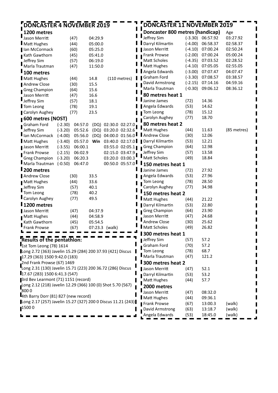| <b>DONCASTER 4 NOVEMBER 2019</b>                             |                      |         |                      | DONCASTER 11 NOVEMBER 2019      |           |          |             |
|--------------------------------------------------------------|----------------------|---------|----------------------|---------------------------------|-----------|----------|-------------|
| 1200 metres                                                  |                      |         |                      | Doncaster 800 metres (handicap) |           |          | Age         |
| Jason Merritt                                                | (47)                 | 04:29.9 |                      | Jeffrey Sim                     | $(-3.30)$ | 06:57.92 | 03:27.92    |
| Matt Hughes                                                  | (44)                 | 05:00.0 |                      | Darryl Kilmartin                | $(-4.00)$ | 06:58.37 | 02:58.37    |
| Ian McCormack                                                | (60)                 | 05:25.0 |                      | Jason Merritt                   | $(-4.10)$ | 07:00.24 | 02:50.24    |
| <b>Kath Gawthorn</b>                                         | (45)                 | 05:41.0 |                      | Frank Prowse                    | $(-2.00)$ | 07:00.24 | 05:00.24    |
| Jeffrey Sim                                                  | (57)                 | 06:19.0 |                      | Matt Scholes                    | $(-4.35)$ | 07:03.52 | 02:28.52    |
| Marla Trautman                                               | (47)                 | 11:50.0 |                      | Matt Hughes                     | $(-4.10)$ | 07:05.05 | 02:55.05    |
| l 100 metres                                                 |                      |         |                      | Angela Edwards                  | $(-3.00)$ | 07:07.47 | 04:07.47    |
| Matt Hughes                                                  | (44)                 | 14.8    | $(110$ metres)       | Graham Ford                     | $(-3.30)$ | 07:08.57 | 03:38.57    |
| Andrew Close                                                 | (30)                 | 15.5    |                      | David Armstrong                 | $(-2.15)$ | 07:14.16 | 04:59.16    |
| Greg Champion                                                | (64)                 | 15.6    |                      | Marla Trautman                  | $(-0.30)$ | 09:06.12 | 08:36.12    |
| Jason Merritt                                                | (47)                 | 16.6    |                      | 80 metres heat 1                |           |          |             |
| Jeffrey Sim                                                  | (57)                 | 18.1    |                      | Janine James                    | (72)      | 14.36    |             |
| Tom Leong                                                    | (78)                 | 19.1    |                      | Angela Edwards                  | (53)      | 14.62    |             |
| Carolyn Aughey                                               | (77)                 | 23.5    |                      | Tom Leong                       | (78)      | 15.12    |             |
| 600 metres (NOST)                                            |                      |         |                      | Carolyn Aughey                  | (77)      | 18.70    |             |
| Graham Ford                                                  | 04:57.0<br>$(-2.30)$ | (DQ)    | 02:30.0 02:27.0      | 80 metres heat 2                |           |          |             |
| Jeffrey Sim                                                  | $(-3.20)$<br>05:52.6 |         | (DQ) 03:20.0 02:32.6 | Matt Hughes                     | (44)      | 11.63    | (85 metres) |
| lan McCormack                                                | $(-4.00)$<br>05:56.0 | (DQ)    | 04:00.0 01:56.0      | Andrew Close                    | (30)      | 12.06    |             |
| <b>Matt Hughes</b>                                           | $(-3.40)$<br>05:57.0 | Win     | 03:40.0 02:17.0      | Darryl Kilmartin                | (53)      | 12.21    |             |
| Jason Merritt                                                | 06:00.1<br>$(-3.55)$ |         | 03:55.0 02:05.1      | <b>Greg Champion</b>            | (64)      | 12.98    |             |
| <b>Frank Prowse</b>                                          | 06:02.9<br>$(-2.15)$ |         | 02:15.0 03:47.9      | Jeffrey Sim                     | (57)      | 13.58    |             |
| <b>Greg Champion</b>                                         | $(-3.20)$<br>06:20.3 |         | 03:20.0 03:00.3      | Matt Scholes                    | (49)      | 18.84    |             |
| Marla Trautman                                               | $(-0.50)$<br>06:47.0 |         | 00:50.0 05:57.0      | 150 metres heat 1               |           |          |             |
| <b>I</b> 200 metres                                          |                      |         |                      | Janine James                    | (72)      | 27.92    |             |
| <b>Andrew Close</b>                                          | (30)                 | 33.5    |                      | Angela Edwards                  | (53)      | 27.96    |             |
| <b>Matt Hughes</b>                                           | (44)                 | 33.6    |                      | Tom Leong                       | (78)      | 28.50    |             |
| Jeffrey Sim                                                  | (57)                 | 40.1    |                      | Carolyn Aughey                  | (77)      | 34.98    |             |
| Tom Leong                                                    | (78)                 | 40.2    |                      | 150 metres heat 2               |           |          |             |
| Carolyn Aughey                                               | (77)                 | 49.5    |                      | Matt Hughes                     | (44)      | 21.22    |             |
| 1200 metres                                                  |                      |         |                      | Darryl Kilmartin                | (53)      | 22.80    |             |
| Jason Merritt                                                | (47)                 | 04:37.9 |                      | <b>Greg Champion</b>            | (64)      | 23.90    |             |
| <b>Matt Hughes</b>                                           | (44)                 | 04:58.9 |                      | Jason Merritt                   | (47)      | 24.68    |             |
| Kath Gawthorn                                                | (45)                 | 05:54.5 |                      | Andrew Close                    | (30)      | 25.62    |             |
| Frank Prowse                                                 | (67)                 |         | 07:23.3 (walk)       | Matt Scholes                    | (49)      | 26.82    |             |
|                                                              |                      |         |                      | 300 metres heat 1               |           |          |             |
| <b>Results of the pentathion:</b>                            |                      |         |                      | Jeffrey Sim                     | (57)      | 57.2     |             |
| 1st Tom Leong (78) 1614                                      |                      |         |                      | Graham Ford                     | (70)      | 57.2     |             |
| Long 2.72 (363) Javelin 15.29 (284) 200 37.93 (421) Discus   |                      |         |                      | Tom Leong                       | (78)      | 68.7     |             |
| 17.29 (363) 1500 9:42.0 (183)                                |                      |         |                      | Marla Trautman                  | (47)      | 121.2    |             |
| $2$ nd Frank Prowse (67) 1469                                |                      |         |                      | <b>I</b> 300 metres heat 2      |           |          |             |
| Long 2.31 (130) Javelin 15.71 (223) 200 36.72 (286) Discus   |                      |         |                      | Jason Merritt                   |           | 52.1     |             |
| 17.67 (283) 1500 6:41.3 (547)                                |                      |         |                      | Darryl Kilmartin                | (47)      | 53.2     |             |
| 3rd Bev Learmont (71) 1151 (record)                          |                      |         |                      |                                 | (53)      |          |             |
| Long 2.12 (218) Javelin 12.29 (366) 100 (0) Shot 5.70 (567)  |                      |         |                      | Matt Hughes                     | (44)      | 57.7     |             |
| $\frac{1}{2}8000$                                            |                      |         |                      | 2000 metres                     |           |          |             |
| 4th Barry Dorr (81) 827 (new record)                         |                      |         |                      | Jason Merritt                   | (47)      | 08:32.0  |             |
| Long 2.17 (257) Javelin 15.27 (327) 200 0 Discus 11.21 (243) |                      |         |                      | Matt Hughes                     | (44)      | 09:36.1  |             |
| 15000                                                        |                      |         |                      | Frank Prowse                    | (67)      | 13:00.3  | (walk)      |
|                                                              |                      |         |                      | David Armstrong                 | (63)      | 13:18.7  | (walk)      |
|                                                              |                      |         |                      | Angela Edwards                  | (53)      | 18:45.0  | (walk)      |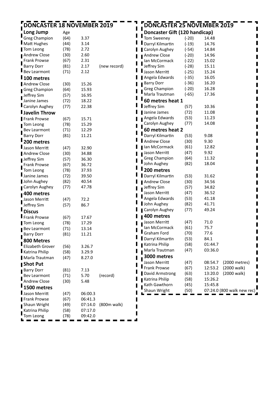| <b>DONCASTER 18 NOVEMBER 2019</b> |              |         |              | DONCASTER 25 NOVEMBER 2019    |         |                            |  |
|-----------------------------------|--------------|---------|--------------|-------------------------------|---------|----------------------------|--|
| Long Jump                         | Age          |         |              | Doncaster Gift (120 handicap) |         |                            |  |
| <b>Greg Champion</b>              | (64)         | 3.37    |              | <b>Tom Sweeney</b>            | $(-20)$ | 14.48                      |  |
| Matt Hughes                       | (44)         | 3.14    |              | Darryl Kilmartin              | $(-19)$ | 14.76                      |  |
| Tom Leong                         | (78)         | 2.72    |              | Carolyn Aughey                | $(-54)$ | 14.84                      |  |
| Andrew Close                      | (30)         | 2.60    |              | Andrew Close                  | $(-20)$ | 14.96                      |  |
| Frank Prowse                      | (67)         | 2.31    |              | Ian McCormack                 | $(-22)$ | 15.02                      |  |
| <b>Barry Dorr</b>                 | (81)         | 2.17    | (new record) | Jeffrey Sim                   | $(-28)$ | 15.11                      |  |
| Bev Learmont                      | (71)         | 2.12    |              | Jason Merritt                 | $(-25)$ | 15.24                      |  |
| 100 metres                        |              |         |              | Angela Edwards                | $(-35)$ | 16.05                      |  |
| <b>Andrew Close</b>               | (30)         | 15.26   |              | <b>Barry Dorr</b>             | $(-36)$ | 16.20                      |  |
| Greg Champion                     | (64)         | 15.93   |              | Greg Champion                 | $(-20)$ | 16.28                      |  |
| Jeffrey Sim                       | (57)         | 16.95   |              | Marla Trautman                | $(-65)$ | 17.36                      |  |
| Janine James                      | (72)         | 18.22   |              | 60 metres heat 1              |         |                            |  |
| ■ Carolyn Aughey                  | (77)         | 22.38   |              | Jeffrey Sim                   | (57)    | 10.36                      |  |
| <b>I</b> Javelin Throw            |              |         |              | Janine James                  | (72)    | 11.08                      |  |
| <b>Frank Prowse</b>               | (67)         | 15.71   |              | Angela Edwards                | (53)    | 11.23                      |  |
| Tom Leong                         | (78)         | 15.29   |              | Carolyn Aughey                | (77)    | 14.08                      |  |
| Bev Learmont                      | (71)         | 12.29   |              | 60 metres heat 2              |         |                            |  |
| <b>Barry Dorr</b>                 | (81)         | 11.21   |              | Darryl Kilmartin              | (53)    | 9.08                       |  |
| 200 metres                        |              |         |              | Andrew Close                  | (30)    | 9.30                       |  |
| Jason Merritt                     |              | 32.90   |              | Ian McCormack                 | (61)    | 12.82                      |  |
| <b>Andrew Close</b>               | (47)         | 34.88   |              | Jason Merritt                 | (47)    | 9.92                       |  |
|                                   | (30)         | 36.30   |              | Greg Champion                 | (64)    | 11.32                      |  |
| Jeffrey Sim                       | (57)<br>(67) | 36.72   |              | John Aughey                   | (82)    | 18.04                      |  |
| <b>Frank Prowse</b><br>Tom Leong  | (78)         | 37.93   |              | 200 metres                    |         |                            |  |
| Janine James                      | (72)         | 39.50   |              | Darryl Kilmartin              | (53)    | 31.62                      |  |
| John Aughey                       | (82)         | 40.54   |              | Andrew Close                  | (30)    | 34.56                      |  |
| Carolyn Aughey                    | (77)         | 47.78   |              | Jeffrey Sim                   | (57)    | 34.82                      |  |
| 400 metres                        |              |         |              | Jason Merritt                 | (47)    | 36.52                      |  |
| Jason Merritt                     | (47)         | 72.2    |              | Angela Edwards                | (53)    | 41.18                      |  |
| Jeffrey Sim                       | (57)         | 86.7    |              | John Aughey                   | (82)    | 41.71                      |  |
|                                   |              |         |              | Carolyn Aughey                | (77)    | 49.24                      |  |
| <b>Discus</b>                     |              |         |              | 400 metres                    |         |                            |  |
| Frank Prowse                      | (67)         | 17.67   |              | Jason Merritt                 | (47)    | 71.0                       |  |
| Tom Leong                         | (78)         | 17.29   |              | Ian McCormack                 | (61)    | 75.7                       |  |
| ■ Bev Learmont                    | (71)         | 13.14   |              | Graham Ford                   | (70)    | 77.6                       |  |
| <b>Barry Dorr</b>                 | (81)         | 11.21   |              | Darryl Kilmartin              | (53)    | 84.1                       |  |
| 800 Metres                        |              |         |              | Katrina Philip                | (58)    | 01:44.7                    |  |
| Elizabeth Grover                  | (56)         | 3.26.7  |              | Marla Trautman                | (47)    | 03:36.0                    |  |
| Katrina Philip                    | (58)         | 3.29.9  |              | 3000 metres                   |         |                            |  |
| Marla Trautman                    | (47)         | 8.27.0  |              | Jason Merritt                 | (47)    | (2000 metres)<br>08:54.7   |  |
| Shot Put                          |              |         |              | Frank Prowse                  | (67)    | 12:53.2<br>(2000 walk)     |  |
| <b>Barry Dorr</b>                 | (81)         | 7.13    |              | David Armstrong               | (63)    | 13:20.0<br>(2000 walk)     |  |
| Bev Learmont                      | (71)         | 5.70    | (record)     | Katrina Philip                | (58)    | 15:26.2                    |  |
| Andrew Close                      | (30)         | 5.48    |              | Kath Gawthorn                 | (45)    | 15:45.8                    |  |
| 1500 metres                       |              |         |              | Shaun Wright                  | (50)    | 07:24.0 (800 walk new rec) |  |
| Jason Merritt                     | (47)         | 06:00.3 |              |                               |         |                            |  |
| Frank Prowse                      | (67)         | 06:41.3 |              |                               |         |                            |  |
| Shaun Wright                      | (49)         | 07:14.0 | (800m walk)  |                               |         |                            |  |
| Katrina Philip                    | (58)         | 07:17.0 |              |                               |         |                            |  |
| Tom Leong                         | (78)         | 09:42.0 |              |                               |         |                            |  |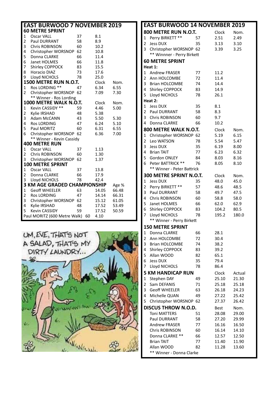| <b>EAST BURWOOD 7 NOVEMBER 2019</b><br><b>60 METRE SPRINT</b><br>Oscar VALL<br>37<br>$\mathbf{1}$<br>8.1<br>2<br><b>Paul DURRANT</b><br>58<br>8.9<br>3<br><b>Chris ROBINSON</b><br>60<br>10.2<br>62<br>4<br>Christopher WORSNOP<br>10.8<br>5<br>66<br>11.4<br>Donna CLARKE<br>6<br>66<br>11.8<br>Janet HOLMES<br>7<br>15.5<br>Shirley COPPOCK<br>83<br>8<br>73<br>17.6<br><b>Horacio DIAZ</b><br>9<br>Lloyd NICHOLS<br>78<br>25.0<br>1500 METRE RUN N.O.T.<br>Clock<br>Nom.<br>Ros LORDING **<br>6.34<br>$\mathbf{1}$<br>47<br>6.55<br>$\overline{2}$<br>Christopher WORSNOP<br>-62<br>7.09<br>7.30<br>** Winner - Ros Lording<br>1000 METRE WALK N.O.T.<br>Clock<br>Nom.<br>Kevin CASSIDY **<br>$\mathbf{1}$<br>59<br>4.46<br>5.00<br>2<br>48<br>5.38<br>Kylie IRSHAD<br>3<br>Adam McCANN<br>43<br>5.50<br>5.30<br>6.24<br>4<br>5.10<br><b>Ros LORDING</b><br>47<br>5<br>6.31<br>6.55<br>60<br>Paul MORITZ<br>6<br>6.36<br>7.00<br>Christopher WORSNOP<br>62<br>** Winner - Kevin Cassidy<br><b>400 METRE RUN</b><br><b>Oscar VALL</b><br>37<br>1<br>1.13<br>$\overline{2}$<br><b>Chris ROBINSON</b><br>60<br>1.30<br>62<br>3<br>Christopher WORSNOP<br>1.37<br><b>100 METRE SPRINT</b><br>$\mathbf{1}$<br><b>Oscar VALL</b><br>37<br>13.8<br>66<br>17.9<br>2<br>Donna CLARKE<br>3<br>Lloyd NICHOLS<br>78<br>42.4 |
|--------------------------------------------------------------------------------------------------------------------------------------------------------------------------------------------------------------------------------------------------------------------------------------------------------------------------------------------------------------------------------------------------------------------------------------------------------------------------------------------------------------------------------------------------------------------------------------------------------------------------------------------------------------------------------------------------------------------------------------------------------------------------------------------------------------------------------------------------------------------------------------------------------------------------------------------------------------------------------------------------------------------------------------------------------------------------------------------------------------------------------------------------------------------------------------------------------------------------------------------------------------------------------------------------------------------|
|                                                                                                                                                                                                                                                                                                                                                                                                                                                                                                                                                                                                                                                                                                                                                                                                                                                                                                                                                                                                                                                                                                                                                                                                                                                                                                                    |
|                                                                                                                                                                                                                                                                                                                                                                                                                                                                                                                                                                                                                                                                                                                                                                                                                                                                                                                                                                                                                                                                                                                                                                                                                                                                                                                    |
|                                                                                                                                                                                                                                                                                                                                                                                                                                                                                                                                                                                                                                                                                                                                                                                                                                                                                                                                                                                                                                                                                                                                                                                                                                                                                                                    |
|                                                                                                                                                                                                                                                                                                                                                                                                                                                                                                                                                                                                                                                                                                                                                                                                                                                                                                                                                                                                                                                                                                                                                                                                                                                                                                                    |
|                                                                                                                                                                                                                                                                                                                                                                                                                                                                                                                                                                                                                                                                                                                                                                                                                                                                                                                                                                                                                                                                                                                                                                                                                                                                                                                    |
|                                                                                                                                                                                                                                                                                                                                                                                                                                                                                                                                                                                                                                                                                                                                                                                                                                                                                                                                                                                                                                                                                                                                                                                                                                                                                                                    |
|                                                                                                                                                                                                                                                                                                                                                                                                                                                                                                                                                                                                                                                                                                                                                                                                                                                                                                                                                                                                                                                                                                                                                                                                                                                                                                                    |
|                                                                                                                                                                                                                                                                                                                                                                                                                                                                                                                                                                                                                                                                                                                                                                                                                                                                                                                                                                                                                                                                                                                                                                                                                                                                                                                    |
|                                                                                                                                                                                                                                                                                                                                                                                                                                                                                                                                                                                                                                                                                                                                                                                                                                                                                                                                                                                                                                                                                                                                                                                                                                                                                                                    |
|                                                                                                                                                                                                                                                                                                                                                                                                                                                                                                                                                                                                                                                                                                                                                                                                                                                                                                                                                                                                                                                                                                                                                                                                                                                                                                                    |
|                                                                                                                                                                                                                                                                                                                                                                                                                                                                                                                                                                                                                                                                                                                                                                                                                                                                                                                                                                                                                                                                                                                                                                                                                                                                                                                    |
|                                                                                                                                                                                                                                                                                                                                                                                                                                                                                                                                                                                                                                                                                                                                                                                                                                                                                                                                                                                                                                                                                                                                                                                                                                                                                                                    |
|                                                                                                                                                                                                                                                                                                                                                                                                                                                                                                                                                                                                                                                                                                                                                                                                                                                                                                                                                                                                                                                                                                                                                                                                                                                                                                                    |
|                                                                                                                                                                                                                                                                                                                                                                                                                                                                                                                                                                                                                                                                                                                                                                                                                                                                                                                                                                                                                                                                                                                                                                                                                                                                                                                    |
|                                                                                                                                                                                                                                                                                                                                                                                                                                                                                                                                                                                                                                                                                                                                                                                                                                                                                                                                                                                                                                                                                                                                                                                                                                                                                                                    |
|                                                                                                                                                                                                                                                                                                                                                                                                                                                                                                                                                                                                                                                                                                                                                                                                                                                                                                                                                                                                                                                                                                                                                                                                                                                                                                                    |
|                                                                                                                                                                                                                                                                                                                                                                                                                                                                                                                                                                                                                                                                                                                                                                                                                                                                                                                                                                                                                                                                                                                                                                                                                                                                                                                    |
|                                                                                                                                                                                                                                                                                                                                                                                                                                                                                                                                                                                                                                                                                                                                                                                                                                                                                                                                                                                                                                                                                                                                                                                                                                                                                                                    |
|                                                                                                                                                                                                                                                                                                                                                                                                                                                                                                                                                                                                                                                                                                                                                                                                                                                                                                                                                                                                                                                                                                                                                                                                                                                                                                                    |
|                                                                                                                                                                                                                                                                                                                                                                                                                                                                                                                                                                                                                                                                                                                                                                                                                                                                                                                                                                                                                                                                                                                                                                                                                                                                                                                    |
|                                                                                                                                                                                                                                                                                                                                                                                                                                                                                                                                                                                                                                                                                                                                                                                                                                                                                                                                                                                                                                                                                                                                                                                                                                                                                                                    |
|                                                                                                                                                                                                                                                                                                                                                                                                                                                                                                                                                                                                                                                                                                                                                                                                                                                                                                                                                                                                                                                                                                                                                                                                                                                                                                                    |
|                                                                                                                                                                                                                                                                                                                                                                                                                                                                                                                                                                                                                                                                                                                                                                                                                                                                                                                                                                                                                                                                                                                                                                                                                                                                                                                    |
|                                                                                                                                                                                                                                                                                                                                                                                                                                                                                                                                                                                                                                                                                                                                                                                                                                                                                                                                                                                                                                                                                                                                                                                                                                                                                                                    |
|                                                                                                                                                                                                                                                                                                                                                                                                                                                                                                                                                                                                                                                                                                                                                                                                                                                                                                                                                                                                                                                                                                                                                                                                                                                                                                                    |
|                                                                                                                                                                                                                                                                                                                                                                                                                                                                                                                                                                                                                                                                                                                                                                                                                                                                                                                                                                                                                                                                                                                                                                                                                                                                                                                    |
|                                                                                                                                                                                                                                                                                                                                                                                                                                                                                                                                                                                                                                                                                                                                                                                                                                                                                                                                                                                                                                                                                                                                                                                                                                                                                                                    |
|                                                                                                                                                                                                                                                                                                                                                                                                                                                                                                                                                                                                                                                                                                                                                                                                                                                                                                                                                                                                                                                                                                                                                                                                                                                                                                                    |
|                                                                                                                                                                                                                                                                                                                                                                                                                                                                                                                                                                                                                                                                                                                                                                                                                                                                                                                                                                                                                                                                                                                                                                                                                                                                                                                    |
|                                                                                                                                                                                                                                                                                                                                                                                                                                                                                                                                                                                                                                                                                                                                                                                                                                                                                                                                                                                                                                                                                                                                                                                                                                                                                                                    |
|                                                                                                                                                                                                                                                                                                                                                                                                                                                                                                                                                                                                                                                                                                                                                                                                                                                                                                                                                                                                                                                                                                                                                                                                                                                                                                                    |
| <b>3 KM AGE GRADED CHAMPIONSHIP</b><br>Age %                                                                                                                                                                                                                                                                                                                                                                                                                                                                                                                                                                                                                                                                                                                                                                                                                                                                                                                                                                                                                                                                                                                                                                                                                                                                       |
| $\mathbf{1}$<br><b>Geoff WHEELER</b><br>63<br>66.48<br>14.05                                                                                                                                                                                                                                                                                                                                                                                                                                                                                                                                                                                                                                                                                                                                                                                                                                                                                                                                                                                                                                                                                                                                                                                                                                                       |
| $\overline{c}$<br>66.31<br>47<br>14.14<br><b>Ros LORDING</b>                                                                                                                                                                                                                                                                                                                                                                                                                                                                                                                                                                                                                                                                                                                                                                                                                                                                                                                                                                                                                                                                                                                                                                                                                                                       |
| 3<br>Christopher WORSNOP<br>62<br>15.12<br>61.05                                                                                                                                                                                                                                                                                                                                                                                                                                                                                                                                                                                                                                                                                                                                                                                                                                                                                                                                                                                                                                                                                                                                                                                                                                                                   |
| 48<br>17.52<br>4<br>Kylie IRSHAD<br>53.49                                                                                                                                                                                                                                                                                                                                                                                                                                                                                                                                                                                                                                                                                                                                                                                                                                                                                                                                                                                                                                                                                                                                                                                                                                                                          |
| 5<br>59<br>50.59<br>Kevin CASSIDY<br>17.52                                                                                                                                                                                                                                                                                                                                                                                                                                                                                                                                                                                                                                                                                                                                                                                                                                                                                                                                                                                                                                                                                                                                                                                                                                                                         |
| Paul MORITZ (600 Metre Walk)<br>4.10<br>60                                                                                                                                                                                                                                                                                                                                                                                                                                                                                                                                                                                                                                                                                                                                                                                                                                                                                                                                                                                                                                                                                                                                                                                                                                                                         |



|                | <b>EAST BURWOOD 14 NOVEMBER 2019</b>  |          |              |              |  |  |  |  |  |  |
|----------------|---------------------------------------|----------|--------------|--------------|--|--|--|--|--|--|
|                | 800 METRE RUN N.O.T.                  |          | Clock        | Nom.         |  |  |  |  |  |  |
| 1              | Perry BIRKETT **                      | 57       | 2.51         | 2.49         |  |  |  |  |  |  |
| 2              | <b>Jess DUX</b>                       | 35       | 3.13         | 3.10         |  |  |  |  |  |  |
| 3              | Christopher WORSNOP 62                |          | 3.39         | 3.25         |  |  |  |  |  |  |
|                | ** Winnner - Perry Birkett            |          |              |              |  |  |  |  |  |  |
|                | <b>60 METRE SPRINT</b>                |          |              |              |  |  |  |  |  |  |
|                | Heat 1:                               |          |              |              |  |  |  |  |  |  |
| $\mathbf 1$    | <b>Andrew FRASER</b>                  | 77       | 11.2         |              |  |  |  |  |  |  |
| 2              | Ann HOLCOMBE                          | 72       | 11.4         |              |  |  |  |  |  |  |
| 3              | <b>Brian HOLCOMBE</b>                 | 74       | 14.4         |              |  |  |  |  |  |  |
| 4              | Shirley COPPOCK                       | 83       | 14.9         |              |  |  |  |  |  |  |
| 5              | Lloyd NICHOLS                         | 78       | 26.1         |              |  |  |  |  |  |  |
|                | Heat 2:                               |          |              |              |  |  |  |  |  |  |
| 1              | <b>Jess DUX</b>                       | 35       | 8.1          |              |  |  |  |  |  |  |
| 2              | Paul DURRANT                          | 58       | 8.3          |              |  |  |  |  |  |  |
| 3              | <b>Chris ROBINSON</b>                 | 60       | 9.7          |              |  |  |  |  |  |  |
| 4              | Donna CLARKE                          | 66       | 10.2         |              |  |  |  |  |  |  |
|                | 800 METRE WALK N.O.T.                 |          | Clock        | Nom.         |  |  |  |  |  |  |
| 1              | Christopher WORSNOP 62                |          | 5.19         | 6.15         |  |  |  |  |  |  |
| 2              | Leo WATSON                            | 78       | 5.54         | 5.47         |  |  |  |  |  |  |
| 3              | <b>Jess DUX</b>                       | 35       | 6.19         | 8.00         |  |  |  |  |  |  |
| 4              | <b>Brian TAIT</b>                     | 77       | 6.23         | 6.32         |  |  |  |  |  |  |
| 5              | <b>Gordon ONLEY</b>                   | 84       | 8.03         | 8.16         |  |  |  |  |  |  |
| 6              | Peter BATTRICK **                     | 76       | 8.05         | 8.10         |  |  |  |  |  |  |
|                | ** Winner - Peter Battrick            |          |              |              |  |  |  |  |  |  |
|                | 300 METRE SPRINT N.O.T.               |          | Clock        | Nom.         |  |  |  |  |  |  |
| 1              | <b>Jess DUX</b>                       | 35       | 48.0         | 45.0         |  |  |  |  |  |  |
| $\overline{2}$ | Perry BIRKETT **                      | 57       | 48.6         | 48.5         |  |  |  |  |  |  |
| 3<br>4         | Paul DURRANT<br><b>Chris ROBINSON</b> | 58<br>60 | 49.7         | 47.5         |  |  |  |  |  |  |
| 5              | Janet HOLMES                          | 66       | 58.8<br>62.0 | 58.0<br>62.9 |  |  |  |  |  |  |
| 6              | Shirley COPPOCK                       | 83       | 104.2        | 80.5         |  |  |  |  |  |  |
| 7              | Lloyd NICHOLS                         | 78       | 195.2        | 180.0        |  |  |  |  |  |  |
|                | ** Winner - Perry Birkett             |          |              |              |  |  |  |  |  |  |
|                | <b>150 METRE SPRINT</b>               |          |              |              |  |  |  |  |  |  |
| 1              | Donna CLARKE                          | 66       | 28.1         |              |  |  |  |  |  |  |
| 2              | Ann HOLCOMBE                          | 72       | 30.4         |              |  |  |  |  |  |  |
| 3              | <b>Brian HOLCOMBE</b>                 | 74       | 38.2         |              |  |  |  |  |  |  |
| 4              | Shirley COPPOCK                       | 83       | 39.2         |              |  |  |  |  |  |  |
| 5              | Allan WOOD                            | 82       | 65.1         |              |  |  |  |  |  |  |
| 6              | Jess DUX                              | 35       | 79.4         |              |  |  |  |  |  |  |
| 7              | Lloyd NICHOLS                         | 78       | 86.4         |              |  |  |  |  |  |  |
|                | <b>5 KM HANDICAP RUN</b>              |          | Clock        | Actual       |  |  |  |  |  |  |
| 1              | Stephen DAY                           | 49       | 25.10        | 21.30        |  |  |  |  |  |  |
| 2              | Sam DEFANIS                           | 71       | 25.18        | 25.18        |  |  |  |  |  |  |
| 3              | <b>Geoff WHEELER</b>                  | 63       | 26.18        | 24.23        |  |  |  |  |  |  |
| 4              | Michelle QUAN                         | 49       | 27.22        | 25.42        |  |  |  |  |  |  |
| 5              | Christopher WORSNOP 62                |          | 27.37        | 26.42        |  |  |  |  |  |  |
|                | <b>DISCUS THROW N.O.D.</b>            |          | <b>Best</b>  | Nom.         |  |  |  |  |  |  |
|                | <b>Toni MATTERS</b>                   | 51       | 28.08        | 29.00        |  |  |  |  |  |  |
|                | <b>Paul DURRANT</b>                   | 58       | 27.20        | 29.99        |  |  |  |  |  |  |
|                | Andrew FRASER                         | 77       | 16.16        | 16.50        |  |  |  |  |  |  |
|                | Chris ROBINSON                        | 60       | 16.14        | 14.10        |  |  |  |  |  |  |
|                | Donna CLARKE **                       | 66       | 12.57        | 12.50        |  |  |  |  |  |  |
|                | Brian TAIT                            | 77       | 11.40        | 11.90        |  |  |  |  |  |  |
|                | Allan WOOD                            | 82       | 11.28        | 13.60        |  |  |  |  |  |  |
|                | ** Winner - Donna Clarke              |          |              |              |  |  |  |  |  |  |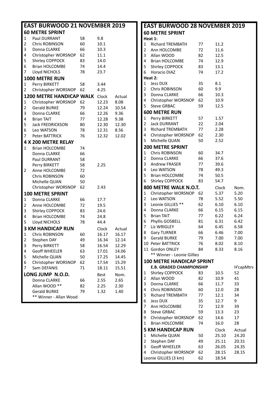|                         | <b>EAST BURWOOD 21 NOVEMBER 2019</b> |          |                |                |  |  |  |  |
|-------------------------|--------------------------------------|----------|----------------|----------------|--|--|--|--|
| <b>60 METRE SPRINT</b>  |                                      |          |                |                |  |  |  |  |
| 1                       | <b>Paul DURRANT</b>                  | 58       | 9.8            |                |  |  |  |  |
| 2                       | <b>Chris ROBINSON</b>                | 60       | 10.1           |                |  |  |  |  |
| 3                       | Donna CLARKE                         | 66       | 10.3           |                |  |  |  |  |
| 4                       | Christopher WORSNOP                  | 62       | 11.1           |                |  |  |  |  |
| 5                       | Shirley COPPOCK                      | 83       | 14.0           |                |  |  |  |  |
| 6                       | <b>Brian HOLCOMBE</b>                | 74       | 14.4           |                |  |  |  |  |
| 7                       | Lloyd NICHOLS                        | 78       | 23.7           |                |  |  |  |  |
|                         | 1000 METRE RUN                       |          |                |                |  |  |  |  |
| 1                       | Perry BIRKETT                        | 58       | 3.44           |                |  |  |  |  |
| 2                       | Christopher WORSNOP                  | 62       | 4.25           |                |  |  |  |  |
|                         | <b>1200 METRE HANDICAP WALK</b>      |          | Clock          | Actual         |  |  |  |  |
| 1                       | Christopher WORSNOP                  | 62       | 12.23          | 8.08           |  |  |  |  |
| 2                       | <b>Gerald BURKE</b>                  | 79       | 12.24          | 10.54          |  |  |  |  |
| 3                       | Donna CLARKE                         | 66       | 12.26          | 9.36           |  |  |  |  |
| 4                       | <b>Brian TAIT</b>                    | 77       | 12.28          | 9.38           |  |  |  |  |
| 5                       | <b>Jack FREDRICKSON</b>              | 80       | 12.30          | 12.30          |  |  |  |  |
| 6                       | Leo WATSON                           | 78       | 12.31          | 8.56           |  |  |  |  |
| 7                       | Peter BATTRICK                       | 76       | 12.32          | 12.02          |  |  |  |  |
|                         | 4 X 200 METRE RELAY                  |          |                |                |  |  |  |  |
| 1                       | <b>Brian HOLCOMBE</b>                | 74       |                |                |  |  |  |  |
|                         | Donna CLARKE                         | 66       |                |                |  |  |  |  |
|                         | Paul DURRANT                         | 58       |                |                |  |  |  |  |
|                         | Perry BIRKETT                        | 58       | 2.25           |                |  |  |  |  |
| 2                       | Anne HOLCOMBE                        | 72       |                |                |  |  |  |  |
|                         | <b>Chris ROBINSON</b>                | 60       |                |                |  |  |  |  |
|                         | Michelle QUAN                        | 50       |                |                |  |  |  |  |
|                         | Christopher WORSNOP                  | 62       | 2.43           |                |  |  |  |  |
|                         | <b>100 METRE SPRINT</b>              |          |                |                |  |  |  |  |
| 1                       | Donna CLARKE                         | 66       | 17.7           |                |  |  |  |  |
| $\overline{\mathbf{c}}$ | Anne HOLCOMBE                        | 72       | 19.5           |                |  |  |  |  |
| 3                       | Shirley COPPOCK                      | 83       | 24.6           |                |  |  |  |  |
| 4                       | <b>Brian HOLCOMBE</b>                | 74       | 24.8           |                |  |  |  |  |
| 5                       | Lloyd NICHOLS                        | 78       | 44.4           |                |  |  |  |  |
|                         | <b>3 KM HANDICAP RUN</b>             |          | Clock          |                |  |  |  |  |
|                         |                                      |          |                | Actual         |  |  |  |  |
| $\mathbf 1$             | Chris ROBINSON                       | 60       | 16.17          | 16.17          |  |  |  |  |
| 2<br>3                  | Stephen DAY<br>Perry BIRKETT         | 49<br>58 | 16.34          | 12.14          |  |  |  |  |
| 4                       | <b>Geoff WHEELER</b>                 | 63       | 16.54          | 12.29          |  |  |  |  |
| 5                       |                                      | 50       | 17.01          | 14.06          |  |  |  |  |
| 6                       | Michelle QUAN<br>Christopher WORSNOP | 62       | 17.25<br>17.54 | 14.45<br>15.29 |  |  |  |  |
| 7                       | Sam DEFANIS                          | 71       | 18.11          | 15.51          |  |  |  |  |
|                         |                                      |          |                |                |  |  |  |  |
|                         | LONG JUMP N.O.D.                     |          | <b>Best</b>    | Nom.           |  |  |  |  |
|                         | Donna CLARKE                         | 66       | 2.55           | 2.65           |  |  |  |  |
|                         | Allan WOOD **                        | 82       | 2.25           | 2.30           |  |  |  |  |
|                         | <b>Gerald BURKE</b>                  | 79       | 1.32           | 1.40           |  |  |  |  |
|                         | ** Winner - Allan Wood               |          |                |                |  |  |  |  |

|                | <b>EAST BURWOOD 28 NOVEMBER 2019</b>             |          |              |              |
|----------------|--------------------------------------------------|----------|--------------|--------------|
|                | <b>60 METRE SPRINT</b>                           |          |              |              |
|                | Heat 1:                                          |          |              |              |
| 1              | <b>Richard TREMBATH</b>                          | 77       | 11.2         |              |
| $\overline{2}$ | Ann HOLCOMBE                                     | 72       | 11.6         |              |
| 3              | Allan WOOD                                       | 82       | 12.5         |              |
| 4              | <b>Brian HOLCOMBE</b>                            | 74       | 12.9         |              |
| 5              | Shirley COPPOCK                                  | 83       | 13.1         |              |
| 6              | Horacio DIAZ                                     | 74       | 17.2         |              |
|                | Heat 2:                                          |          |              |              |
| 1              | Jess DUX                                         | 35       | 8.1          |              |
| $\overline{2}$ | Chris ROBINSON                                   | 60       | 9.9          |              |
| 3              | Donna CLARKE                                     | 66       | 10.3         |              |
| 4              | Christopher WORSNOP                              | 62       | 10.9         |              |
| 5              | <b>Steve GRBAC</b>                               | 59       | 12.5         |              |
|                | <b>600 METRE RUN</b>                             |          |              |              |
| 1              | Perry BIRKETT                                    | 57       | 1.57         |              |
| $\overline{2}$ | <b>Jack DURRANT</b><br><b>RIchard TREMBATH</b>   | 22       | 2.04         |              |
| 3<br>4         | Christopher WORSNOP                              | 77<br>62 | 2.28<br>2.30 |              |
| 5              | Michelle QUAN                                    | 50       | 2.52         |              |
|                |                                                  |          |              |              |
|                | <b>200 METRE SPRINT</b><br><b>Chris ROBINSON</b> |          |              |              |
| 1              |                                                  | 60<br>66 | 34.7         |              |
| 2<br>3         | Donna CLARKE<br><b>Andrew FRASER</b>             | 77       | 37.6<br>39.6 |              |
| 4              | Leo WATSON                                       | 78       | 49.3         |              |
| 5              | <b>Brian HOLCOMBE</b>                            | 74       | 50.5         |              |
| 6              | Shirley COPPOCK                                  | 83       | 54.7         |              |
|                | 800 METRE WALK N.O.T.                            |          |              |              |
|                |                                                  |          | Clock        | Nom.         |
| 1<br>2         | Christopher WORSNOP<br>Leo WATSON                | 62<br>78 | 5.37<br>5.52 | 5.20<br>5.50 |
| 3              | Leonie GILLIES **                                | 62       | 6.10         | 6.10         |
| 4              | Donna CLARKE                                     | 66       | 6.15         | 6.15         |
| 5              | <b>Brian TAIT</b>                                | 77       | 6.22         | 6.24         |
| 6              | Phyllis GOSBELL                                  | 81       | 6.31         | 6.42         |
| 7              | Liz WRIGLEY                                      | 64       | 6.45         | 6.58         |
| 8              | <b>Gary TURNER</b>                               | 66       | 6.46         | 7.00         |
| 9              | <b>Gerald BURKE</b>                              | 79       | 7.00         | 7.00         |
|                | 10 Peter BATTRICK                                | 76       | 8.02         | 8.10         |
|                | 11 Gordon ONLEY                                  | 84       | 8.33         | 8.16         |
|                | ** Winner - Leonie Gillies                       |          |              |              |
|                | <b>100 METRE HANDICAP SPRINT</b>                 |          |              |              |
|                | <b>E.B. GRADED CHAMPIONSHIP</b>                  |          |              | H'capMtrs    |
| 1              | Shirley COPPOCK                                  | 83       | 10.5         | 52           |
| 2              | Allan WOOD                                       | 82       | 10.9         | 41           |
| 3              | Donna CLARKE                                     | 66       | 11.7         | 33           |
| 4              | Chris ROBINSON                                   | 60       | 12.0         | 28           |
| 5              | <b>Richard TREMBATH</b>                          | 77       | 12.1         | 34           |
| 6              | <b>Jess DUX</b>                                  | 35       | 12.7         | 9            |
| 7              | Ann HOLCOMBE                                     | 72       | 12.9         | 39           |
| 8              | <b>Steve GRBAC</b>                               | 59       | 13.3         | 23           |
| 9              | Christopher WORSNOP                              | 62       | 14.6         | 17           |
| 1              | <b>Brian HOLCOMBE</b>                            | 74       | 16.0         | 28           |
|                | <b>5 KM HANDICAP RUN</b>                         |          | Clock        | Actual       |
| 1              | Michelle QUAN                                    | 50       | 25.10        | 24.20        |
| 2              | Stephen DAY                                      | 49       | 25.11        | 20.31        |
| 3              | <b>Geoff WHEELER</b>                             | 63       | 26.05        | 24.35        |
| 4              | Christopher WORSNOP                              | 62       | 28.15        | 28.15        |
|                | Leonie GILLIES (3 km)                            | 62       | 18.54        |              |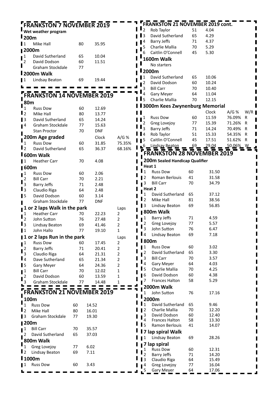|                                           | <b>FRANKSTON 7 NOVEMBER 2019</b>  |          |            |        |                          | <b>FRANKSTON 21 NOVEMBER 2019 cont.</b> |          |                |                  |     |
|-------------------------------------------|-----------------------------------|----------|------------|--------|--------------------------|-----------------------------------------|----------|----------------|------------------|-----|
|                                           | Wet weather program               |          |            |        | $\overline{2}$           | Rob Taylor                              | 51       | 4.04           |                  |     |
| $I_{200m}$                                |                                   |          |            |        | 3                        | David Sutherland                        | 65       | 4.29           |                  |     |
| ∎1                                        | Mike Hall                         | 80       | 35.95      |        | 4                        | <b>Barry Jeffs</b>                      | 71       | 4.37           |                  |     |
| <b>■2000m</b>                             |                                   |          |            |        | 5                        | Charlie Mallia                          | 70       | 5.29           |                  |     |
|                                           |                                   |          |            |        | 6                        | Caitlin O'Connell                       | 45       | 5.30           |                  |     |
| $\mathbf{I}^1$                            | David Sutherland                  | 65       | 10.04      |        |                          | 1600m Walk                              |          |                |                  |     |
| 2                                         | David Dodson<br>Graham Stockdale  | 60<br>77 | 11.51      |        |                          | No starters                             |          |                |                  |     |
|                                           | 2000m Walk                        |          |            |        |                          | <b>I</b> 2000m                          |          |                |                  |     |
|                                           |                                   |          |            |        | 1                        | David Sutherland                        | 65       | 10.06          |                  |     |
| l 1                                       | Lindsay Beaton                    | 69       | 19.44      |        | 2                        | David Dodson                            | 60       | 10.24          |                  |     |
|                                           |                                   |          |            |        |                          | <b>Bill Carr</b>                        | 70       | 10.40          |                  |     |
|                                           | <b>FRANKSTON 14 NOVEMBER 2019</b> |          |            |        |                          | Gary Meyer                              | 64       | 11.04          |                  |     |
| <b>80m</b>                                |                                   |          |            |        | 5                        | Charlie Mallia                          | 70       | 12.15          |                  |     |
| $\mathbf{1}_{1}$                          | <b>Russ Dow</b>                   | 60       | 12.69      |        |                          | <b>3000m Kees Zwynenburg Memorial</b>   |          |                |                  |     |
| $\mathbf{I}_2$                            | Mike Hall                         | 80       | 13.77      |        |                          |                                         |          | Clock          | A/G%             | W/R |
| $\blacksquare$                            | David Sutherland                  | 65       | 14.24      |        | 1                        | <b>Russ Dow</b>                         | 60       | 11.59          | 76.09%           | R   |
| $\mathsf{I}^4$                            | Graham Stockdale                  | 77       | 15.63      |        | 2                        | Greg Lovejoy                            | 77       | 15.39          | 71.26%           | R   |
|                                           | <b>Stan Proctor</b>               | 70       | <b>DNF</b> |        | 3                        | <b>Barry Jeffs</b>                      | 71       | 14.24          | 70.49%           | R   |
|                                           | 200m Age graded                   |          | Clock      | A/G%   | 4                        | Rob Taylor                              | 51       | 15.33          | 54.35%           | R   |
| $\mathbf{1}$                              | <b>Russ Dow</b>                   | 60       | 31.85      | 75.35% | 5                        | Caitlin O'Connell                       | 45       | 17.51          | 51.62%           | R   |
| $\mathbf{L}$                              | David Sutherland                  | 65       | 36.37      | 68.16% |                          | Lindsay Beaton                          |          |                | <u>50.06%__W</u> |     |
|                                           | <b>I</b> 600m Walk                |          |            |        |                          | <b>FRANKSTON 28 NOVEMBER 2019</b>       |          |                |                  |     |
| l 1                                       | <b>Heather Carr</b>               | 70       | 4.08       |        |                          | 200m Sealed Handicap Qualifier          |          |                |                  |     |
| <b>Ⅰ600m</b>                              |                                   |          |            |        |                          | Heat 1                                  |          |                |                  |     |
|                                           | <b>Russ Dow</b>                   | 60       | 2.06       |        | l 1                      | <b>Russ Dow</b>                         | 60       | 31.50          |                  |     |
| $\mathbf{I}^1$                            | <b>Bill Carr</b>                  | 70       | 2.21       |        | -2                       | Roman Berlouis                          | 41       | 31.58          |                  |     |
| $\mathbf{I}^2$<br>$\overline{\mathbf{3}}$ | <b>Barry Jeffs</b>                | 71       | 2.48       |        | 3                        | <b>Bill Carr</b>                        | 70       | 34.79          |                  |     |
| $\blacksquare$                            | Claudio Riga                      | 64       | 2.48       |        |                          | Heat 2                                  |          |                |                  |     |
| $\blacksquare$                            | David Dodson                      | 60       | 3.14       |        | 1                        | David Sutherland                        | 65       | 37.12          |                  |     |
|                                           | Graham Stockdale                  | 77       | <b>DNF</b> |        | l 2                      | Mike Hall                               | 81       | 38.56          |                  |     |
|                                           | 1 or 2 laps Walk in the park      |          |            | Laps   | l 3                      | <b>Lindsay Beaton</b>                   | 69       | 56.85          |                  |     |
| 1                                         | <b>Heather Carr</b>               | 70       | 22.23      | 2      |                          | 800m Walk                               |          |                |                  |     |
| 2                                         | John Sutton                       | 76       | 27.48      | 2      | 1                        | <b>Barry Jeffs</b>                      | 71       | 4.59           |                  |     |
| $\blacksquare$ 3                          | Lindsay Beaton                    | 69       | 41.46      | 2      | 2                        | Greg Lovejoy                            | 77       | 5.57           |                  |     |
| $\blacksquare$                            | John Hallo                        | 77       | 19.10      | 1      | 3                        | John Sutton                             | 76       | 6.47           |                  |     |
|                                           | 1 or 2 laps Run in the park       |          |            | Laps   | ∎ 4                      | <b>Lindsay Beaton</b>                   | 69       | 7.18           |                  |     |
| $\mathbf{I}^1$                            | <b>Russ Dow</b>                   | 60       | 17.45      | 2      | <b>800m</b>              |                                         |          |                |                  |     |
|                                           | <b>Barry Jeffs</b>                | 71       | 20.41      | 2      | $\blacksquare$           | <b>Russ Dow</b>                         | 60       | 3.02           |                  |     |
| $\frac{1}{3}$                             | Claudio Riga                      | 64       | 21.31      | 2      | 2                        | David Sutherland                        | 65       | 3.30           |                  |     |
| $\mathbf{I}_4$                            | Dave Sutherland                   | 65       | 21.34      | 2      | 3                        | <b>Bill Carr</b>                        | 70       | 3.57           |                  |     |
| $\blacksquare$                            | Gary Meyer                        | 64       | 24.36      | 2      | 4                        | Gary Meyer                              | 64       | 4.03           |                  |     |
| $\mathbf{I}^1$                            | <b>Bill Carr</b>                  | 70       | 12.02      | 1      | l 5                      | Charlie Mallia                          | 70       | 4.25           |                  |     |
| $\mathbf{I}^2$                            | David Dodson                      | 60       | 13.59      | 1      | 16                       | David Dodson                            | 60       | 4.38           |                  |     |
|                                           | Graham Stockdale                  | 77       | 14.48      | 1      | 7                        | <b>Frances Halton</b>                   | 58       | 5.29           |                  |     |
|                                           |                                   |          |            |        |                          | 2000m Walk                              |          |                |                  |     |
|                                           | <b>FRANKSTON 21 NOVEMBER 2019</b> |          |            |        | $\mathbf{1}$             | John Sutton                             | 76       | 17.16          |                  |     |
| 100m                                      |                                   |          |            |        |                          | 2000m                                   |          |                |                  |     |
| 1                                         | <b>Russ Dow</b>                   | 60       | 14.52      |        | $\mathbf{I}_1$           | David Sutherland                        | 65       | 9.46           |                  |     |
| $\mathbf{I}_2$                            | Mike Hall                         | 80       | 16.01      |        | 2                        | Charlie Mallia<br>David Dodson          | 70<br>60 | 12.20<br>12.40 |                  |     |
| $\blacksquare$                            | Graham Stockdale                  | 77       | 19.30      |        | 3<br>4                   | Frances Halton                          | 58       | 13.30          |                  |     |
| <b>∥200m</b>                              |                                   |          |            |        | $\mathbf{I}$             | Ramon Berlouis                          | 41       | 14.07          |                  |     |
| 1 ב                                       | <b>Bill Carr</b>                  | 70       | 35.57      |        |                          | 7 lap spiral Walk                       |          |                |                  |     |
| 2                                         | David Sutherland                  | 65       | 37.03      |        | 1                        | Lindsay Beaton                          | 69       | 28.26          |                  |     |
|                                           | 800m Walk                         |          |            |        |                          | 7 lap spiral                            |          |                |                  |     |
| $\mathbf{I}_1$                            | Greg Lovejoy                      | 77       | 6.02       |        | 1                        | <b>Russ Dow</b>                         | 60       | 12.31          |                  |     |
| $\blacksquare$                            | Lindsay Beaton                    | 69       | 7.11       |        | $\overline{\phantom{a}}$ | <b>Barry Jeffs</b>                      | 71       | 14.20          |                  |     |
| <b>1000m</b>                              |                                   |          |            |        | 3                        | Claudio Riga                            | 64       | 15.49          |                  |     |
|                                           | <b>Russ Dow</b>                   | 60       | 3.43       |        | 4                        | Greg Lovejoy                            | 77       | 16.04          |                  |     |
|                                           |                                   |          |            |        |                          | Gary Meyer                              | 64       | 17.06          |                  |     |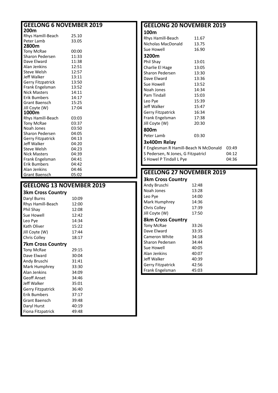| <b>GEELONG 6 NOVEMBER 2019</b>  |                                 | <b>GEELONG 20 NOVEME</b>        |                                                    |
|---------------------------------|---------------------------------|---------------------------------|----------------------------------------------------|
| 200m                            |                                 | 100m                            |                                                    |
| Rhys Hamill-Beach               | 25.10                           | Rhys Hamill-Beach               | 11.6                                               |
| Peter Lamb                      | 33.05                           | Nicholas MacDonald              | 13.7                                               |
| 2800m                           |                                 | Sue Howell                      | 16.9                                               |
| Tony McRae<br>Sharon Pedersen   | 00:00<br>11:33                  | 3200m                           |                                                    |
| Dave Elward                     | 11:38                           | Phil Shay                       | 13:0                                               |
| Alan Jenkins                    | 12:51                           | Charlie El Hage                 | 13:0                                               |
| Steve Welsh                     | 12:57                           | Sharon Pedersen                 | 13:3                                               |
| Jeff Walker                     | 13:11                           | Dave Elward                     | 13:3                                               |
| <b>Gerry Fitzpatrick</b>        | 13:50                           | Sue Howell                      | 13:5                                               |
| Frank Engelsman                 | 13:52                           | Noah Jones                      | 14:3                                               |
| <b>Nick Masters</b>             | 14:11                           | Pam Tindall                     |                                                    |
| <b>Erik Bumbers</b>             | 14:17                           |                                 | 15:0                                               |
| Grant Baensch                   | 15:25                           | Leo Pye                         | 15:3                                               |
| Jill Coyte (W)                  | 17:04                           | Jeff Walker                     | 15:4                                               |
| 1000m                           |                                 | Gerry Fitzpatrick               | 16:3                                               |
| Rhys Hamill-Beach               | 03:03                           | Frank Engelsman                 | 17:3                                               |
| <b>Tony McRae</b><br>Noah Jones | 03:37                           | Jill Coyte (W)                  | 20:3                                               |
| Sharon Pedersen                 | 03:50<br>04:05                  | 800m                            |                                                    |
| Gerry Fitzpatrick               | 04:13                           | Peter Lamb                      | 03:3                                               |
| Jeff Walker                     | 04:20                           | 3x400m Relay                    |                                                    |
| Steve Welsh                     | 04:23                           | F Englesman R Hamill-Beach N    |                                                    |
| <b>Nick Masters</b>             | 04:39                           | S Pedersen, N Jones, G Fitzpatr |                                                    |
| Frank Engelsman                 | 04:41                           | S Howel P Tindall L Pye         |                                                    |
| <b>Erik Bumbers</b>             | 04:42                           |                                 |                                                    |
|                                 |                                 |                                 |                                                    |
| Alan Jenkins                    | 04:46                           |                                 |                                                    |
| Grant Baensch                   | 05:02                           | <b>GEELONG 27 NOVEME</b>        |                                                    |
|                                 |                                 | <b>3km Cross Country</b>        |                                                    |
|                                 | <b>GEELONG 13 NOVEMBER 2019</b> | Andy Bruschi                    |                                                    |
| <b>3km Cross Country</b>        |                                 | Noah Jones                      |                                                    |
| Daryl Burns                     | 10:09                           | Leo Pye                         |                                                    |
| Rhys Hamill-Beach               | 12:00                           | Mark Humphrey                   |                                                    |
| Phil Shay                       | 12:08                           | Chris Colley                    |                                                    |
| Sue Howell                      | 12:42                           | Jill Coyte (W)                  |                                                    |
| Leo Pye                         | 14:34                           | <b>8km Cross Country</b>        | 12:48<br>13:28<br>14:00<br>14:36<br>17:39<br>17:50 |
| Kath Oliver                     | 15:22                           | Tony McRae                      |                                                    |
| Jill Coyte (W)                  | 17:44                           | Dave Elward                     | 33:26<br>33:35                                     |
| Chris Colley                    | 18:17                           | Cameron White                   |                                                    |
| <b>7km Cross Country</b>        |                                 | Sharon Pedersen                 | 34:18<br>34:44                                     |
| <b>Tony McRae</b>               | 29:15                           | Sue Howell                      |                                                    |
| Dave Elward                     | 30:04                           | Alan Jenkins                    |                                                    |
| Andy Bruschi                    | 31:41                           | Jeff Walker                     | 40:05<br>40:07<br>40:39                            |
| Mark Humphrey                   | 33:30                           | Gerry Fitzpatrick               |                                                    |
| Alan Jenkins                    | 34:09                           | Frank Engelsman                 |                                                    |
| <b>Geoff Anset</b>              | 34:46                           |                                 |                                                    |
| Jeff Walker                     | 35:01                           |                                 |                                                    |
| Gerry Fitzpatrick               | 36:40                           |                                 |                                                    |
| <b>Erik Bumbers</b>             | 37:17                           |                                 | 42:56<br>45:03                                     |
| Grant Baensch                   | 39:48                           |                                 |                                                    |
| Daryl Hurst                     | 40:19                           |                                 |                                                    |

## **GEELONG 20 NOVEMBER 2019**

| CEFLONIC 37 NOVEMBED 3010             |                |       |
|---------------------------------------|----------------|-------|
| S Howel P Tindall L Pye               |                | 04:36 |
| S Pedersen, N Jones, G Fitzpatricl    | 04:12          |       |
| F Englesman R Hamill-Beach N McDonald | 03:49          |       |
| 3x400m Relay                          |                |       |
| Peter Lamb                            | 03:30          |       |
| 800m                                  |                |       |
| Jill Coyte (W)                        | 20:30          |       |
| Frank Engelsman                       | 17:38          |       |
| <b>Gerry Fitzpatrick</b>              | 16:34          |       |
| Jeff Walker                           | 15:47          |       |
| Leo Pye                               | 15:39          |       |
| Pam Tindall                           | 15:03          |       |
| Noah Jones                            | 14:34          |       |
| Dave Elward<br>Sue Howell             | 13:36<br>13:52 |       |
| Sharon Pedersen                       | 13:30          |       |
| Charlie El Hage                       | 13:05          |       |
| Phil Shay                             | 13:01          |       |
| 3200m                                 |                |       |
| Sue Howell                            | 16.90          |       |
| Nicholas MacDonald                    | 13.75          |       |
| Rhys Hamill-Beach                     | 11.67          |       |
| TINAT                                 |                |       |

### **GEELONG 27 NOVEMBER 2019**

| <b>3km Cross Country</b> |       |
|--------------------------|-------|
| Andy Bruschi             | 12:48 |
| Noah Jones               | 13:28 |
| Leo Pye                  | 14:00 |
| Mark Humphrey            | 14:36 |
| Chris Colley             | 17:39 |

#### **Cross Country**

| <b>Tony McRae</b>        | 33:26 |  |
|--------------------------|-------|--|
| Dave Elward              | 33:35 |  |
| Cameron White            | 34:18 |  |
| Sharon Pedersen          | 34:44 |  |
| Sue Howell               | 40:05 |  |
| Alan Jenkins             | 40:07 |  |
| Jeff Walker              | 40:39 |  |
| <b>Gerry Fitzpatrick</b> | 42:56 |  |
| Frank Engelsman          | 45:03 |  |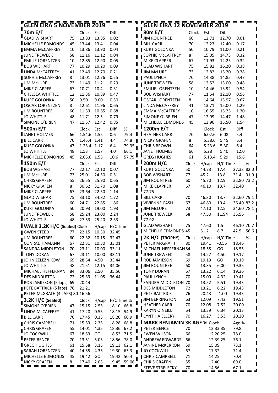| <b>GLEN EIRA 12 NOVEMBER 2019</b><br><b>GLEN EIRA 5 NOVEMBER 2019</b> |          |                |                |                |               |  |                                              |          |                |              |                     |      |
|-----------------------------------------------------------------------|----------|----------------|----------------|----------------|---------------|--|----------------------------------------------|----------|----------------|--------------|---------------------|------|
| 70m E/T                                                               |          | Clock          | Est            | Diff           |               |  | 80m E/T                                      | Clock    | Est            | Diff         |                     |      |
| <b>GLAD WISHART</b>                                                   | 75       | 13.83          | 13.85          | 0.02           |               |  | <b>JIM ROUNTREE</b>                          | 60       | 12.71          | 12.70        | 0.01                |      |
| <b>IMICHELLE EDMONDS</b>                                              | 45       | 13.44          | 13.4           | 0.04           |               |  | <b>BILL CARR</b>                             | 70       | 12.23          | 12.40        | 0.17                |      |
| <b>EMMA McCAFFREY</b>                                                 | 10       | 13.86          | 13.90          | 0.04           |               |  | <b>KURT GOLONKA</b>                          | 50       | 10.79          | 11.00        | 0.21                |      |
| JUNE TREWEEK                                                          | 58       | 11.16          | 11.12          | 0.04           |               |  | SOPHIE McCAFFREY                             | 8        | 15.05          | 14.73        | 0.32                |      |
| <b>EMILIE LORENTZEN</b>                                               | 10       | 12.85          | 12.90          | 0.05           |               |  | MIKE CLAPPER                                 | 67       | 11.93          | 12.25        | 0.32                |      |
| <b>BOB WISHART</b>                                                    | 77       | 10.29          | 10.20          | 0.09           |               |  | <b>GLAD WISHART</b>                          | 75       | 15.82          | 16.20        | 0.38                |      |
| <b>LINDA McCAFFREY</b>                                                | 41       | 12.49          | 12.70          | 0.21           |               |  | <b>JIM McLURE</b>                            | 73       | 12.82          | 13.20        | 0.38                |      |
| SOPHIE McCAFFREY                                                      | 8        | 13.01          | 12.76          | 0.25           |               |  | PAUL LYNCH                                   | 70       | 14.38          | 14.85        | 0.47                |      |
| <b>JIM McLURE</b>                                                     | 73       | 11.49          | 11.2           | 0.29           |               |  | <b>JUNE TREWEEK</b>                          | 58       | 12.52          | 13.00        | 0.48                |      |
| MIKE CLAPPER                                                          | 67       | 10.71          | 10.4           | 0.31           |               |  | <b>EMILIE LORENTZEN</b>                      | 10       | 14.46          | 13.92        | 0.54                |      |
| CHELSEA WHITTLE                                                       | 12       | 11.36          | 10.89          | 0.47           |               |  | <b>BOB WISHART</b>                           | 77       | 11.54          | 12.10        | 0.56                |      |
| <b>KURT GOLONKA</b>                                                   | 50       | 9.50           | 9.00           | 0.50           |               |  | <b>OSCAR LORENTZEN</b>                       | 8        | 14.64          | 13.97        | 0.67                |      |
| OSCAR LORENTZEN                                                       | 8        | 12.61          | 11.96          | 0.65           |               |  | LINDA McCAFFREY                              | 41       | 13.71          | 15.00        | 1.29                |      |
| <b>JIM ROUNTREE</b>                                                   | 60       | 11.33          | 10.65          | 0.68           |               |  | <b>EMMA McCAFFREY</b>                        | 10       | 16.55          | 15.25        | 1.30                |      |
| <b>JO WHITTLE</b><br>SIMONE O'BRIEN                                   | 48       | 11.71          | 12.5           | 0.79           |               |  | SIMONE O' BRIEN<br>MICHELLE EDMONDS          | 47       | 12.99          | 14.47        | 1.48                |      |
|                                                                       | 47       | 11.57          | 12.42          | 0.85           |               |  |                                              | 45       | 13.96          | 15.50        | 1.54                |      |
| <b>500m E/T</b>                                                       |          | Clock          | Est            | Diff           | %             |  | 1200m E/T                                    |          | Clock          | Est          | Diff                |      |
| JANET HOLMES                                                          | 66       | 1.54.6         | 1.55           | 0.6            | 79.4          |  | ш<br><b>HEATHER CARR</b>                     | 70       | 6.02.6         | 6.08         | 5.4                 |      |
| <b>BILL CARR</b>                                                      | 70       | 1.45.4         | 1.41           | 4.4            | 74.8          |  | NICKY GRAFEN                                 | 8        | 5.38.6         | 5.45         | 6.4                 |      |
| <b>KURT GOLONKA</b>                                                   | 47       | 1.23.4         | 1.17           | 6.4            | 79.35<br>66.1 |  | <b>CHRIS BROWN</b>                           | 64       | 5.23.6         | 5.30         | 6.4                 |      |
| <b>JO WHITTLE</b><br>MICHELLE EDMONDS                                 | 48<br>45 | 1.53<br>2.05.6 | 1.57<br>1.55   | 4.0<br>10.6    | 57.79         |  | <b>JANET HOLMES</b><br><b>GREG HUGHES</b>    | 66<br>61 | 5.28<br>5.13.4 | 5.40<br>5.29 | 12.0<br>15.6        |      |
|                                                                       |          |                |                |                |               |  |                                              |          |                |              |                     |      |
| <b>I</b> 150m E/T                                                     |          | Clock          | Est            | Diff           |               |  | 200m H/C                                     | Clock    | H/cap          | H/C Time     |                     | %    |
| <b>BOB WISHART</b>                                                    | 77       | 22.17          | 22.10          | 0.07           |               |  | <b>KURT GOLONKA</b>                          | 50       | 44.73          | 17.4         | 27.33 82.0          |      |
| <b>JIM McLURE</b>                                                     | 73       | 25.01          | 24.50          | 0.51           |               |  | <b>BOB WISHART</b>                           | 77       | 45.2           | 13.8         | 31.4                | 91.9 |
| <b>CHRIS GRAFEN</b><br><b>NICKY GRAFEN</b>                            | 55<br>8  | 26.55<br>30.62 | 25.90<br>31.70 | 0.65<br>1.08   |               |  | <b>JIM ROUNTREE</b>                          | 60<br>67 | 45.70<br>46.10 | 12.9<br>13.7 | 32.80 73.2<br>32.40 |      |
| <b>MIKE CLAPPER</b>                                                   | 67       | 23.64          | 22.50          | 1.14           |               |  | MIKE CLAPPER<br>77.75                        |          |                |              |                     |      |
| <b>GLAD WISHART</b>                                                   | 75       | 33.10          | 34.82          | 1.72           |               |  | <b>BILL CARR</b>                             | 70       | 46.30          | 13.7         | 32.60 79.1          |      |
| <b>JIM ROUNTREE</b>                                                   | 60       | 24.71          | 22.85          | 1.86           |               |  | <b>VIVIENNE CASH</b>                         | 67       | 46.80          | 10.4         | 36.40 83.2          |      |
| KURT GOLONKA                                                          | 50       | 20.93          | 19.00          | 1.93           |               |  | <b>JIM McLURE</b>                            | 73       | 47.10          | 12.5         | 34.60 78.1          |      |
| <b>JUNE TREWEEK</b>                                                   | 58       | 25.24          | 23.00          | 2.24           |               |  | <b>JUNE TREWEEK</b>                          | 58       | 47.50          | 11.94        | 35.56               |      |
| <b>JO WHITTLE</b>                                                     | 48       | 27.53          | 25.20          | 2.33           |               |  | 77.92                                        |          |                |              |                     |      |
| <b>I WALK 3.2K H/C (Sealed) Clock</b>                                 |          |                |                | H/cap H/C Time |               |  | <b>GLAD WISHART</b>                          | 75       | 47.60          | 1.5          | 46.10 70.7          |      |
| <b>GWEN STEED</b>                                                     | 77       | 22.15          | 10.30          | 32.45          |               |  | MICHELLE EDMONDS 45                          |          | 51.2           | 8.7          | 42.5                | 56.6 |
| <b>JIM ROUNTREE</b>                                                   | 60       | 22.32          | 10.15          | 32.47          |               |  | 2K H/C (TROPHY)                              | Clock    | H/cap          | H/C Time     |                     | %    |
| <b>CONRAD HAMANN</b>                                                  | 67       | 22.31          | 10.30          | 33.01          |               |  | PETER McGRATH                                | 80       | 19.41          | $-0.55$      | 18.46               |      |
| SANDRA MIDDLETON                                                      | 70       | 23.11          | 10.00          | 33.11          |               |  | MICHAEL HEFFERNAN 84                         |          | 18.55          | GO           | 18.55               |      |
| <b>TONY DORAN</b>                                                     | 67       | 23.11          | 10.00          | 33.11          |               |  | <b>JUNE TREWEEK</b>                          | 58       | 14.27          | 4.50         | 19.17               |      |
| JOHN ZELEZNIKOW                                                       | 69       | 28.54          | 4.50           | 33.44          |               |  | ROB JAMIESON                                 | 69       | 19.19          | GO           | 19.19               |      |
| JO WHITTLE                                                            | 48       | 21.51          | 12.15          | 34.06          |               |  | <b>JIM ROUNTREE</b>                          | 60       | 13.35          | 6.00         | 19.35               |      |
| MICHAEL HEFFERNAN                                                     | 84       | 33.06          | 2.50           | 35.56          |               |  | <b>TONY DORAN</b>                            | 67       | 13.22          | 6.14         | 19.36               |      |
| Ш<br><b>DES MIDDLETON</b>                                             | 72       | 25.39          | 11.05          | 36.44          |               |  | PAUL LYNCH                                   | 70       | 15.09          | 4.32         | 19.41               |      |
| ROB JAMIESON (5 laps) 69                                              |          | 20.44          |                |                |               |  | SANDRA MIDDLETON 70                          |          | 13.52          | 5.51         | 19.43               |      |
| PETE BATTRICK (5 laps) 76                                             |          | 21.21          |                |                |               |  | <b>DES MIDDLETON</b>                         | 72       | 13.21          | 6.22         | 19.43               |      |
| PETER McGRATH (4 LAPS) 80 16.56                                       |          |                |                |                |               |  | PETE BATTRICK                                | 76       | 20.43          | $-1.00$      | 19.43               |      |
| $3.2K H/C$ (Sealed)                                                   |          | Clock          | H/cap          | H/C Time %     |               |  | <b>JIM BERRINGTON</b><br><b>HEATHER CARR</b> | 63<br>70 | 12.09<br>12.08 | 7.42<br>7.52 | 19.51<br>20.00      |      |
| SIMONE O'BRIEN                                                        | 47       | 15.15          | 2.55           | 18.10 66.8     |               |  | <b>KARYN O'NEILL</b>                         | 64       | 13.39          | 6.34         | 20.13               |      |
| LINDA McCAFFREY                                                       | 41       | 17.20          | 0.55           | 18.15 54.9     |               |  | <b>CYNTHIA ELLERY</b><br>ш                   | 70       | 16.27          | 3.53         | 20.20               |      |
| <b>BILL CARR</b><br>CHRIS CAMPBELL                                    | 70<br>71 | 17.45<br>15.53 | 0.35<br>2.35   | 18.20<br>18.28 | 60.9<br>68.8  |  | <b>I MARK BENJAMIN 3K AGE % Clock</b>        |          |                |              | Age %               |      |
| <b>CHRIS GRAFEN</b>                                                   | 55       | 14.01          | 4.35           | 18.36          | 67.2          |  | PETER BENCE                                  | 70       |                | 12.33.35     | 79.8                |      |
| <b>JO COCKWILL</b>                                                    | 67       | 18.53          | GO             | 18.53          | 71.5          |  | <b>EWEN WILSON</b>                           | 66       |                | 12.20.25     | 78.0                |      |
| PETER BENCE                                                           | 70       | 13.51          | 5.05           | 18.56 78.0     |               |  | ANDREW EDWARDS                               | 66       |                | 12.39.25     | 76.1                |      |
| <b>GREG HUGHES</b>                                                    | 61       | 15.58          | 3.15           | 19.13          | 62.1          |  | <b>JANINE MCKERRON</b>                       | 59       | 15.09          |              | 73.1                |      |
| SARAH LORENTZEN                                                       | 40       | 14.55          | 4.35           | 19.30          | 63.3          |  | <b>JO COCKWILL</b>                           | 67       | 17.32          |              | 71.4                |      |
| MICHELLE EDMONDS                                                      | 45       | 19.42          | GO             | 19.42 50.4     |               |  | <b>CHRIS CAMPBELL</b>                        | 71       | 14.25          |              | 70.4                |      |
| <b>NICKY GRAFEN</b>                                                   | 8        | 17.40          | 2.05           | 19.45 59.06    |               |  | <b>CHRIS GRAFEN</b>                          | 55       | 12.40          |              | 69.0                |      |
|                                                                       |          |                |                |                |               |  | <b>STEVE STRELECKY</b>                       | 70       | 14.56          |              | 67.1                |      |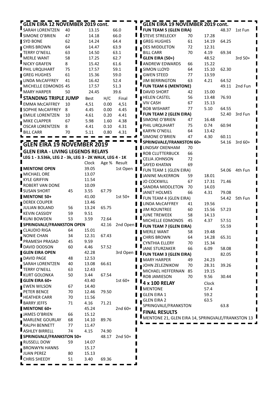| <b>GLEN EIRA 12 NOVEMBER 2019 cont.</b>                 |    |       |              |           | <b>GLEN EIRA 19 NOVEMBER 2019 cont.</b>           |    |       |       |           |
|---------------------------------------------------------|----|-------|--------------|-----------|---------------------------------------------------|----|-------|-------|-----------|
| SARAH LORENTZEN                                         | 40 | 13.15 |              | 66.0      | <b>FUN TEAM 5 (GLEN EIRA)</b>                     |    |       | 48.37 | 1st Fun   |
| SIMONE O'BRIEN                                          | 47 | 14.18 |              | 66.0      | <b>STEVE STRELECKY</b>                            | 70 | 17.28 |       |           |
| SYD BONE                                                | 62 | 14.24 |              | 64.4      | <b>GREG HUGHES</b>                                | 61 | 14.19 | 64.25 |           |
| <b>CHRIS BROWN</b>                                      | 64 | 14.47 |              | 63.9      | <b>DES MIDDLETON</b>                              | 72 | 12.31 |       |           |
| <b>TERRY O'NEILL</b>                                    | 63 | 14.50 |              | 63.1      | <b>BILL CARR</b>                                  | 70 | 4.19  | 69.34 |           |
| <b>MERLE WANT</b>                                       | 58 | 17.25 |              | 62.7      | GLEN EIRA (50+)                                   |    | 48.52 |       | $3rd 50+$ |
| NICKY GRAFEN                                            | 8  | 15.42 |              | 61.6      | ANDREW EDWARDS                                    | 66 | 15.22 |       |           |
| PHIL URQUHART                                           | 75 | 17.57 |              | 59.1      | <b>SIMON LLOYD</b>                                | 64 | 15.10 | 62.30 |           |
| <b>GREG HUGHES</b>                                      | 61 | 15.36 |              | 59.0      | <b>GWEN STEED</b>                                 | 77 | 13.59 |       |           |
| LINDA McCAFFREY                                         | 41 | 16.42 |              | 52.4      | <b>JIM BERRINGTON</b>                             | 63 | 4.21  | 64.52 |           |
| MICHELLE EDMONDS 45                                     |    | 17.57 |              | 51.3      | <b>FUN TEAM 6 (MENTONE)</b>                       |    |       | 49.11 | 2nd Fun   |
| <b>MARY HARPER</b>                                      | 50 | 24.45 |              | 39.6      | DAVID SHORT                                       | 42 | 15.00 |       |           |
| <b>STANDING TRIPLE JUMP</b>                             |    | Best  | H/C          | Final     | <b>HELEN CASTEL</b>                               | 56 | 13.48 | 76.93 |           |
| <b>EMMA McCAFFREY</b>                                   | 10 | 4,51  | 0.00         | 4,51      | <b>VIV CASH</b>                                   | 67 | 15.13 |       |           |
| <b>SOPHIE McCAFFREY</b>                                 | 8  | 4.45  | 0.00         | 4.45      | <b>BOB WISHART</b>                                | 77 | 5.10  | 64.55 |           |
| <b>EMILIE LORENTZEN</b>                                 | 10 | 4.61  | 0.20         | 4.41      | FUN TEAM 2 (GLEN EIRA)                            |    |       | 52.40 | 3rd Fun   |
| MIKE CLAPPER                                            | 67 | 5.98  | 1.60         | 4.38      | SIMONE O'BRIEN                                    | 47 | 16.48 |       |           |
| <b>OSCAR LORENTZEN</b>                                  | 8  | 4.41  | 0.10         | 4.31      | PHIL URQUHART                                     | 75 | 0.74  | 60.94 |           |
| <b>BILL CARR</b>                                        | 70 | 5.11  | 0.80         | 4.31      | <b>KARYN O'NEILL</b>                              | 64 | 13.42 |       |           |
|                                                         |    |       |              |           | SIMONE O'BRIEN                                    | 47 | 4.30  | 60.11 |           |
|                                                         |    |       |              |           | <b>SPRINGVALE/FRANKSTON 60+</b>                   |    |       | 54.16 | $3rd60+$  |
| <b>GLEN EIRA 19 NOVEMBER 2019</b>                       |    |       |              |           | LINDSAY OXENHAM                                   | 70 |       |       |           |
| <b>GLEN EIRA - LIVING LEGENDS RELAYS</b>                |    |       |              |           | ROB CLUTTERBUCK                                   | 66 |       |       |           |
| LEG 1 - 3.536k, LEG 2 - 3k, LEG 3 - 2K WALK, LEG 4 - 1K |    |       |              |           | <b>CELIA JOHNSON</b>                              | 72 |       |       |           |
|                                                         |    | Clock | Age % Result |           | SAYED KHATAN                                      | 69 |       |       |           |
| <b>MENTONE OPEN</b>                                     |    | 39.05 |              | 1st Open  | FUN TEAM 1 (GLEN EIRA)                            |    |       | 54.06 | 4th Fun   |
| MICHAEL ORE                                             |    | 13.07 |              |           | <b>JANINE McKERRON</b>                            | 59 | 18.01 |       |           |
| <b>KYLE GRIFFIN</b>                                     |    | 11.54 |              |           | <b>JO COCKWILL</b>                                | 67 | 17.31 | 71.46 |           |
| ROBERT VAN DONE                                         |    | 10.09 |              |           | SANDRA MIDDLETON                                  | 70 | 14.03 |       |           |
| <b>SUSAN SHORT</b>                                      | 45 | 3.55  | 67.79        |           | <b>JANET HOLMES</b>                               | 66 | 4.31  | 79.08 |           |
| <b>MENTONE 50+</b>                                      |    | 41.00 |              | $1st 50+$ | FUN TEAM 4 (GLEN EIRA)                            |    |       | 54.42 | 5th Fun   |
| DEREK COUPER                                            |    | 13.46 |              |           | LINDA McCAFFREY                                   | 41 | 19.56 |       |           |
| , JULIAN BOLAND                                         | 56 | 13.24 | 65.75        |           | <b>JIM ROUNTREE</b>                               | 60 | 15.56 | 57.23 |           |
| <b>KEVIN CASSIDY</b>                                    | 59 | 9.51  |              |           | <b>JUNE TREWEEK</b>                               | 58 | 14.13 |       |           |
| <b>KUNI BOWDEN</b>                                      | 53 | 3.59  | 72.64        |           | MICHELLE EDMONDS                                  | 45 | 4.37  | 57.51 |           |
| SPRINGVALE/FRANKSTON OPEN                               |    |       | 42.16        | 2nd Open  | <b>FUN TEAM 7 (GLEN EIRA)</b>                     |    |       | 55.59 |           |
| CLAUDIO RIGA                                            | 64 | 15.01 |              |           | <b>MERLE WANT</b>                                 | 58 | 19.48 |       |           |
| $\overline{\phantom{a}}$ NONIE CHAN                     | 34 | 12.31 | 67.43        |           | <b>CHRIS BROWN</b>                                | 64 | 14.28 | 65.31 |           |
| PRAMESH PRASAD                                          | 45 | 9.59  |              |           | <b>CYNTHIA ELLERY</b>                             | 70 | 15.34 |       |           |
| DAVID DODSON                                            | 60 | 4.46  | 57.52        |           | JANE STURZAKER                                    | 66 | 6.09  | 58.08 |           |
| <b>GLEN EIRA OPEN</b>                                   |    | 42.28 |              |           | 3rd Open   FUN TEAM 3 (GLEN EIRA)                 |    |       | 82.05 |           |
| DAVID PAGE                                              | 48 | 12.53 |              |           | <b>MARY HARPER</b>                                | 49 | 24.23 |       |           |
| SARAH LORENTZEN                                         | 40 | 13.08 | 66.61        |           | JOHN ZELEZNIKOW                                   | 70 | 28.31 | 39.26 |           |
| TERRY O'NEILL                                           | 63 | 12.43 |              |           | MICHAEL HEFFERNAN                                 | 85 | 19.15 |       |           |
| KURT GOLONKA                                            | 50 | 3.44  | 67.54        |           | ROB JAMIESON                                      | 70 | 9.56  | 30.44 |           |
| <b>GLEN EIRA 60+</b>                                    |    | 43.40 |              | $1st60+$  | 4 x 100 RELAY                                     |    | Clock |       |           |
| <b>EWEN WILSON</b>                                      | 67 | 14.40 |              |           | <b>MENTONE</b>                                    |    | 57.4  |       |           |
| PETER BENCE                                             | 70 | 12.46 | 79.50        |           | <b>GLEN EIRA 1</b>                                |    | 59.2  |       |           |
| <b>HEATHER CARR</b>                                     | 70 | 11.56 |              |           | <b>GLEN EIRA 2</b>                                |    | 63.5  |       |           |
| <b>BARRY JEFFS</b>                                      | 71 | 4.16  | 71.21        |           | SPRINGVALE/FRANKSTON                              |    |       | 63.8  |           |
| MENTONE 60+                                             |    | 45.24 |              | 2nd $60+$ | <u>'</u><br><b>FINAL RESULTS</b>                  |    |       |       |           |
| JAMES O'BRIEN                                           | 66 | 15.12 |              |           | MENTONE 21, GLEN EIRA 14, SPRINGVALE/FRANKSTON 13 |    |       |       |           |
| MARLENE GOURLAY                                         | 68 | 14.10 | 89.76        |           |                                                   |    |       |       |           |
| RALPH BENNETT                                           | 77 | 11.47 |              |           |                                                   |    |       |       |           |
| ASHLEY BIRRELL                                          | 74 | 4.15  | 74.90        |           |                                                   |    |       |       |           |
| SPRINGVALE/FRANKSTON 50+                                |    |       | 48.17        | $2nd 50+$ |                                                   |    |       |       |           |
| RUSSELL DOW                                             | 59 | 14.07 |              |           |                                                   |    |       |       |           |
| <b>BRONWYN HANNS</b>                                    |    | 15.17 |              |           |                                                   |    |       |       |           |
| <b>JUAN PEREZ</b>                                       | 80 | 15.13 |              |           |                                                   |    |       |       |           |
| CHRIS SHEEDY                                            | 51 | 3.40  | 69.36        |           |                                                   |    |       |       |           |
|                                                         |    |       |              |           |                                                   |    |       |       |           |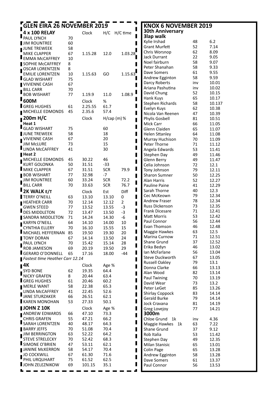| <b>GLEN EIRA 26 NOVEMBER 2019</b><br>г   |          |                  |                |                | <b>KNOX 6 NOVEMBER 2019</b>             |          |                |
|------------------------------------------|----------|------------------|----------------|----------------|-----------------------------------------|----------|----------------|
| 4 x 100 RELAY                            |          | Clock            | H/C H/C time   |                | <b>30th Anniversary</b>                 |          |                |
| PAUL LYNCH                               | 70       |                  |                |                | 3lap walk                               |          |                |
| <b>JIM ROUNTREE</b>                      | 60       |                  |                |                | Kylie Irshad                            | 48       | $6.2$          |
| $\blacksquare$ JUNE TREWEEK              | 58       |                  |                |                | <b>Grant Murfett</b>                    | 52       | 7.14           |
| MIKE CLAPPER                             | 67       | 1.15.28          | 12.0           | 1.03.28        | Chris Worsnop                           | 62       | 8.09           |
| <b>EMMA McCAFFREY</b>                    | 10       |                  |                |                | <b>Jack Durrant</b><br>Noel fairburn    | 22<br>58 | 9.05<br>9.07   |
| SOPHIE McCAFFREY                         | 8        |                  |                |                | Peter Shanahan                          | 58       | 9.33           |
| OSCAR LORENTZEN                          | 8        |                  |                |                | Dave Somers                             | 61       | 9.55           |
| <b>EMILIE LORENTZEN</b>                  | 10       | 1.15.63          | GO             | 1.15.63        | Andrew Egginton                         | 58       | 9.59           |
| <b>GLAD WISHART</b>                      | 75       |                  |                |                | Darcy Roberts                           | inv      | 10.01          |
| <b>VIVIENNE CASH</b><br><b>BILL CARR</b> | 67<br>70 |                  |                |                | Ariana Pashutina                        | inv      | 10.02          |
| <b>BOB WISHART</b>                       | 77       | 1.19.9           | 11.0           | 1.08.9         | David Chung                             | 52       | 10.15          |
| <b>600M</b>                              |          |                  |                |                | Hank Kuys                               | 65       | 10.17          |
| <b>GREG HUGHES</b>                       |          | Clock<br>2.25.55 | $\%$<br>61.7   |                | Stephen Richards                        | 58       | 10.137         |
| <b>MICHELLE EDMONDS</b>                  | 61<br>45 | 2.35.6           | 57.4           |                | Evelyn Kuys                             | 62       | 10.38          |
|                                          |          |                  |                |                | Nicola Van Reenen                       | 47       | 10.39          |
| 200m H/C                                 |          | Clock            | $H/cap$ (m) %  |                | Phylis Gosbell                          | 81       | 10.51          |
| Heat 1<br><b>GLAD WISHART</b>            | 75       |                  | 60             |                | Mick Carr                               | 66       | 11.05          |
| JUNE TREWEEK                             | 58       |                  | 18             | п              | Glenn Claiden<br><b>Helen Sttanley</b>  | 65<br>64 | 11.07<br>11.08 |
| VIVIENNE CASH                            | 67       |                  | 20             |                | Murray Huchison                         | 70       | 11.09          |
| <b>JIM McLURE</b>                        | 73       |                  | 15             |                | Peter Thorne                            | 71       | 11.12          |
| <b>LINDA McCAFFREY</b>                   | 41       |                  | 30             |                | Angela Edwards                          | 53       | 11.41          |
| $H$ eat 2                                |          |                  |                |                | Stephen Day                             | 49       | 11.46          |
| MICHELLE EDMONDS                         | 45       | 30.22            | 46             |                | Glenn Berry                             | 49       | 11.47          |
| <b>KURT GOLONKA</b>                      | 50       | 31.51            | $-33$          |                | Celia Johnson                           | 72       | 12.1           |
| MIKE CLAPPER                             | 67       | 31.51            | <b>SCR</b>     | 79.9           | Tony Johnson                            | 79       | 12.11          |
| <b>BOB WISHART</b>                       | 77       | 32.98            | $-7$           |                | <b>Sharon Sumner</b>                    | 50       | 12.25          |
| <b>JIM ROUNTREE</b>                      | 60       | 33.24            | <b>SCR</b>     | 72.2           | Alan Harris                             | 52       | 12.27          |
| BILL CARR                                | 70       | 33.63            | <b>SCR</b>     | 76.7           | Pauline Paine                           | 41       | 12.29          |
| <b>2K WALK E/T</b>                       |          | Clock            | Est            | Diff           | Sarah Thorne                            | 40       | 12.3           |
| TERRY O'NEILL                            | 63       | 13.10            | 13.10          | 0              | Cec McKeown                             | 79       | 12.34          |
| HEATHER CARR                             | 70       | 12.14            | 12.12          | $\overline{2}$ | Andrew Fraser                           | 78       | 12.34          |
| <b>GWEN STEED</b>                        | 77       | 13.52            | 13.55          | $-3$           | Russ Dickenson<br><b>Frank Dicesare</b> | 73<br>71 | 12.35<br>12.41 |
| DES MIDDLETON                            | 72       | 13.47            | 13.50          | $-3$           | Matt Morris                             | 53       | 12.42          |
| SANDRA MIDDLETON                         | 71       | 14.24            | 14.30          | -6             | Paul Connor                             | 56       | 12.44          |
| KARYN O'NEILL<br><b>CYNTHIA ELLERY</b>   | 64<br>70 | 14.10<br>16.10   | 14.00<br>15.55 | 10<br>15       | Evan Thomson                            | 46       | 12.48          |
| MICHAEL HEFFERNAN 85                     |          | 19.50            | 19.30          | 20             | Maggie Hawkes                           | 63       | 12.5           |
| <b>TONY DORAN</b>                        | 67       | 14.14            | 13.50          | 24             | Marina Curnow                           | 71       | 12.51          |
| <b>PAUL LYNCH</b>                        | 70       | 15.42            | 15.14          | 28             | Shane Grund                             | 37       | 12.52          |
| ROB JAMIESON                             | 69       | 20.19            | 19.50          | 29             | Erika Bedyn                             | 46       | 13.02          |
| GERARD O'DONNELL                         | 65       | 17.16            | 18.00          | $-44$          | Ian McFarlane                           | 56       | 13.04          |
| Fastest time Heather Carr 12.14          |          |                  |                |                | Steve Duckworth                         | 67       | 13.05          |
| $\blacksquare$ 4 $K$                     |          | Clock            | Age %          |                | <b>Russell Oakley</b>                   | 79       | 13.1           |
| SYD BONE                                 | 62       | 19.35            | 64.4           |                | Donna Clarke<br>Alan Wood               | 66<br>82 | 13.13          |
| <b>NICKY GRAFEN</b>                      | 8        | 20.44            | 63.4           |                | Paul Twining                            | 70       | 13.14<br>13.19 |
| <b>GREG HUGHES</b>                       | 61       | 20.46            | 60.2           |                | David Wear                              | 73       | 13.2           |
| <b>MERLE WANT</b>                        | 58       | 22.38            | 65.3           |                | Peter LeGet                             | 85       | 13.26          |
| LINDA McCAFFREY                          | 41       | 22.45            | 52.6           |                | <b>Shirlay Coppock</b>                  | 83       | 14.14          |
| <b>JANE STURZAKER</b>                    | 66       | 26.51            | 62.1           |                | Gerald Burke                            | 79       | 14.14          |
| KAREN MONOHAN                            | 53       | 27.33            | 50.1           |                | Jock Cravana                            | 81       | 14.19          |
| JOHN Z 10K                               |          | Clock            | Age %          |                | Greg Lovejoy                            | 77       | 14.21          |
| ANDREW EDWARDS                           | 66       | 47.10            | 73.3           |                | 3000m                                   |          |                |
| <b>CHRIS GRAFEN</b>                      | 55       | 47.21            | 66.2           |                | Chloe Grund 1k                          | inv      | 4.36           |
| SARAH LORENTZEN                          | 40       | 48.17            | 64.3           |                | Maggie Hawkes 1k                        | 63       | 7.22           |
| <b>BARRY JEFFS</b>                       | 70       | 51.08            | 70.4           |                | Shane Grund                             | 37       | 9.12           |
| <b>JIM BERRINGTON</b>                    | 63       | 52.22            | 64.2           |                | Rob Italia                              | 53       | 11.42          |
| <b>STEVE STRELECKY</b><br>SIMONE O'BRIEN | 70<br>47 | 52.42<br>53.11   | 68.3<br>62.1   |                | Stephen Day                             | 49       | 12.35          |
| <b>JANINE MCKERRON</b>                   | 58       | 54.17            | 70.4           |                | Milan Stanisic<br>Colin Page            | 65<br>65 | 13.01<br>13.28 |
| JO COCKWILL                              | 67       | 61.30            | 71.6           |                | Andrew Egginton                         | 58       | 13.28          |
| PHIL URQUHART                            | 75       | 61.52            | 62.5           |                | Dave Somers                             | 61       | 13.37          |
| <b>JOHN ZELEZNIKOW</b>                   | 69       | 101.15           | 35.1           |                | Paul Connor                             | 56       | 13.53          |
|                                          |          |                  |                |                |                                         |          |                |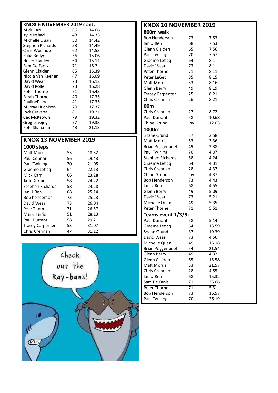| KNOX 6 NOVEMBER 2019 cont. |    |       |  |  |  |  |  |  |  |
|----------------------------|----|-------|--|--|--|--|--|--|--|
| Mick Carr                  | 66 | 14.06 |  |  |  |  |  |  |  |
| Kylie Irshad               | 48 | 14.35 |  |  |  |  |  |  |  |
| Michelle Quan              | 50 | 14.42 |  |  |  |  |  |  |  |
| Stephen Richards           | 58 | 14.49 |  |  |  |  |  |  |  |
| Chris Worsnop              | 62 | 14.53 |  |  |  |  |  |  |  |
| Erika Bedyn                | 56 | 15.06 |  |  |  |  |  |  |  |
| Helen Stanley              | 64 | 15.11 |  |  |  |  |  |  |  |
| Sam De Fanis               | 71 | 15.2  |  |  |  |  |  |  |  |
| Glenn Claiden              | 65 | 15.39 |  |  |  |  |  |  |  |
| Nicola Van Reenen          | 47 | 16.09 |  |  |  |  |  |  |  |
| David Wear                 | 73 | 16.12 |  |  |  |  |  |  |  |
| David Rolfe                | 73 | 16.28 |  |  |  |  |  |  |  |
| Peter Thorne               | 71 | 16.43 |  |  |  |  |  |  |  |
| Sarah Thorne               | 40 | 17.35 |  |  |  |  |  |  |  |
| PaulinePaine               | 41 | 17.35 |  |  |  |  |  |  |  |
| Murray Huchison            | 70 | 17.37 |  |  |  |  |  |  |  |
| Jock Cravana               | 81 | 19.21 |  |  |  |  |  |  |  |
| Cec McKeown                | 79 | 19.32 |  |  |  |  |  |  |  |
| Greg Lovejov               | 77 | 19.33 |  |  |  |  |  |  |  |
| Pete Shanahan              | 48 | 21.13 |  |  |  |  |  |  |  |

#### **KNOX 13 NOVEMBER 2019 1000 steps**

| Matt Morris             | 53 | 18.32 |  |
|-------------------------|----|-------|--|
| Paul Connor             | 56 | 19.43 |  |
| Paul Twining            | 70 | 21.05 |  |
| Graeme Leticq           | 64 | 22.13 |  |
| Mick Carr               | 66 | 23.28 |  |
| Jack Durrant            | 58 | 24.22 |  |
| Stephen Richards        | 58 | 24.28 |  |
| lan U'Ren               | 68 | 25.14 |  |
| Bob henderaon           | 73 | 25.23 |  |
| David Wear              | 73 | 26.04 |  |
| Pete Thorne             | 71 | 26.57 |  |
| Mark Harris             | 51 | 28.13 |  |
| <b>Paul Durrant</b>     | 58 | 29.2  |  |
| <b>Tracey Carpenter</b> | 53 | 31.07 |  |
| Chris Crennan           | 47 | 31.12 |  |



| <b>KNOX 20 NOVEMBER 2019</b> |                 |                  |  |  |  |
|------------------------------|-----------------|------------------|--|--|--|
| 800m walk                    |                 |                  |  |  |  |
| <b>Bob Henderson</b>         | 73              | 7.53             |  |  |  |
| lan U'Ren                    | 68              | 7.53             |  |  |  |
| Glenn Claiden                | 65              | 7.56             |  |  |  |
| Paul Twining                 | 70              | 7.57             |  |  |  |
| Graeme Leticq                | 64              | 8.1              |  |  |  |
| David Wear                   | 73              | 8.1              |  |  |  |
| Peter Thorne                 | 71              | 8.11             |  |  |  |
| Peter LeGet                  | 85              | 8.15             |  |  |  |
| Matt Morris                  | 53              | 8.16             |  |  |  |
| Glenn Berry                  | 49              | 8.19             |  |  |  |
| <b>Tracey Carpenter</b>      | 25              | 8.21             |  |  |  |
| Chris Crennan                | 26              | 8.21             |  |  |  |
| 60m                          |                 |                  |  |  |  |
| Chris Crennan                | 27              | 8.72             |  |  |  |
| <b>Paul Durrant</b>          | 58              | 10.68            |  |  |  |
| Chloe Grund                  | inv             | 12.05            |  |  |  |
| 1000m                        |                 |                  |  |  |  |
| <b>Shane Grund</b>           | 37              | 2.58             |  |  |  |
| <b>Matt Morris</b>           | 53              | 3.36             |  |  |  |
| <b>Brian Poggenpoel</b>      | 49              | 3.38             |  |  |  |
| Paul Twining                 | 70              | 4.07             |  |  |  |
| <b>Stephen Richards</b>      | 58              | 4.24             |  |  |  |
| Graeme Leticq                | 64              | 4.31             |  |  |  |
| Chris Crennan                | 28              | 4.37             |  |  |  |
| Chloe Grund                  | inv             | 4.37             |  |  |  |
| <b>Bob Henderson</b>         | 73              | 4.43             |  |  |  |
| lan U'Ren                    | 68              | 4.55             |  |  |  |
| Glenn Berry                  | 49              | 5.09             |  |  |  |
| David Wear                   | 73              | 5.21             |  |  |  |
| Michelle Quan                | 49              | 5.35             |  |  |  |
| Peter Thorne                 | 71              | 5.51             |  |  |  |
| Teams event 1/3/5k           |                 |                  |  |  |  |
| Paul Durrant                 | 58              | 5.14             |  |  |  |
| Graeme Leticq                | 64              | 13.59            |  |  |  |
| Shane Grund                  | 37              | 19.39            |  |  |  |
| David Wear                   | 73              | 4.56             |  |  |  |
| Michelle Quan                | 49              | 15.18            |  |  |  |
| <b>Brian Poggenpoel</b>      | 54              | 21.54            |  |  |  |
| Glenn Berry                  | 49              | 4.32             |  |  |  |
| Glenn Claiden                | 65              | 15.58            |  |  |  |
| <b>Matt Morris</b>           | 53              | 21.57            |  |  |  |
| Chris Crennan                | 28              | 4.55             |  |  |  |
| lan U'Ren                    | 68              | 15.32            |  |  |  |
| Sam De Fanis                 | 71              | 25.06            |  |  |  |
| Peter Thorne                 | $\overline{71}$ | $\overline{5.3}$ |  |  |  |
| <b>Bob Henderson</b>         | 73              | 16.57            |  |  |  |
| Paul Twining                 | 70              | 26.19            |  |  |  |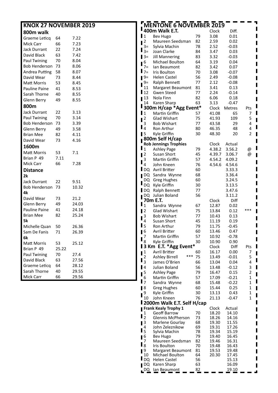| <b>KNOX 27 NOVEMBER 2019</b> |       |       |                                  | <b>MENTONE 6 NOVEMBER 2019</b>      |          |                |                    |                |
|------------------------------|-------|-------|----------------------------------|-------------------------------------|----------|----------------|--------------------|----------------|
| 800m walk                    |       |       |                                  | " 400m Walk E.T.                    |          | Clock          | Diff.              |                |
| Graeme Leticq                | 64    | 7.22  | $\mathbf{I}$                     | Bev Hugo                            | 79       | 3.08           | 0.01               |                |
| Mick Carr                    | 66    | 7.23  | $\blacksquare$                   | Maureen Seedsman                    | 82       | 2.59           | 0.02               |                |
| <b>Jack Durrant</b>          | 22    | 7.24  | $3=$                             | Sylvia Machin                       | 78       | 2.52           | $-0.03$            |                |
| David Black                  | 63    | 7.42  | $\mathbf{I}_{3=}$                | Joan Clarke                         | 84       | 3.47           | 0.03               |                |
| Paul Twining                 | 70    | 8.04  | $13=$                            | <b>Jill Mannering</b>               | 83       | 3.32           | $-0.03$            |                |
| Bob Henderson 73             |       | 8.06  | . 6                              | Michael Boulton                     | 64       | 3.19           | 0.04               |                |
|                              |       | 8.07  | $7=$<br>$\blacksquare$ 7=        | Ian Beaumont                        | 82       | 3.42           | 0.07               |                |
| Andrea Putting               | 58    |       | $9 =$                            | Iris Boulton<br><b>Helen Castel</b> | 70<br>56 | 3.08<br>2.49   | $-0.07$<br>$-0.08$ |                |
| David Wear                   | 73    | 8.44  | $9=$                             | Ralph Bennett                       | 77       | 2.12           | $-0.08$            |                |
| <b>Matt Morris</b>           | 53    | 8.45  | 11                               | Margaret Beaumont                   | 81       | 3.41           | 0.13               |                |
| Pauline Paine                | 41    | 8.53  | $\mathbf{I}_{12}$                | Gwen Steed                          | 77       | 2.24           | $-0.14$            |                |
| Sarah Thorne                 | 40    | 8.55  | $\blacksquare$ 13                | Nola Finn                           | 82       | 6.06           | 0.18               |                |
| Glenn Berry                  | 49    | 8.55  | 14                               | Karen Sharp                         | 63       | 3.13           | $-0.47$            |                |
| 800m                         |       |       |                                  | 300m H/cap *Agg Event*              |          | Clock          | Metres             | Pts            |
| <b>Jack Durrant</b>          | 22    | 3.13  | $\mathbf{1}$                     | Martin Griffin                      | 57       | 41.08          | 65                 | 7              |
| Paul Twining                 | 70    | 3.14  | $\blacksquare$                   | Glad Wishart                        | 75       | 41.93          | 109                | 5              |
| Bob Henderson 73             |       | 3.39  | 3                                | <b>Bob Wishart</b>                  | 77       | 43.58          | 29                 | 4              |
| Glenn Berry                  | 49    | 3.58  | $\mathbf{I}_4$                   | Ron Arthur                          | 80       | 46.35          | 48                 | 4              |
| <b>Brian Mee</b>             | 82    | 4.11  | $\blacksquare$                   | Kyle Griffin                        | 30       | 48.30          | 20                 | $\overline{2}$ |
| David Wear                   | 73    | 4.16  |                                  | 800m Self H/cap                     |          |                |                    |                |
| 1600m                        |       |       |                                  | <b>Rob Jennings Trophies</b>        |          | Clock          | Actual             |                |
|                              |       |       | $\mathbf{I}_1$                   | <b>Ashley Page</b>                  | 79       | 4.38.2         | 3.56.2             | @              |
| <b>Matt Morris</b>           | 53    | 7.1   | $\blacksquare$                   | Susan Short                         | 45       | 4.39.7         | 3.06.7             | @              |
| Brian P 49                   | 7.11  |       | 3                                | Martin Griffin                      | 57       | 4.54.2         | 4.09.2             |                |
| Mick Carr                    | 66    | 7.28  | $\mathbf{I}_4$                   | John Kneen                          | 76       | 4.54.6         | 4.54.6             |                |
| <b>Distance</b>              |       |       |                                  | DQ Avril Britter                    | 60       |                | 3.33.3             |                |
| 2k                           |       |       |                                  | DQ Sandra Wynne                     | 68       |                | 3.36.4             |                |
| <b>Jack Durrant</b>          | 22    | 9.51  |                                  | DQ Greg Hughes                      | 60       |                | 3.24.5             |                |
| Bob Henderson 73             |       | 10.32 |                                  | DQ Kyle Griffin                     | 30       |                | 3.13.5             |                |
| 4k                           |       |       |                                  | DQ Ralph Bennett                    | 77       |                | 3.47.6             |                |
| David Wear                   | 73    | 21.2  |                                  | DQ Julian Boland                    | 56       |                | 3.11.2             |                |
| Glenn Berry                  | 49    | 24.03 |                                  | 70m E.T.                            |          | Clock          | Diff               |                |
| Pauline Paine                | 41    | 24.18 | $\mathbf{I}_1$                   | Sandra Wynne                        | 67       | 12.87          | 0.02               | ***            |
| <b>Brian Mee</b>             | 82    | 25.24 | $\blacksquare$                   | <b>Glad Wishart</b>                 | 75       | 13.84          | 0.12               |                |
| 5k                           |       |       | 3                                | <b>Bob Wishart</b>                  | 77       | 10.43          | 0.13               |                |
|                              |       |       | 4<br>$\mathbf{I}_5$              | Susan Short                         | 45       | 11.19          | 0.19               |                |
| Michelle Quan                | 50    | 26.36 |                                  | Ron Arthur<br>Avril Britter         | 79       | 11.75<br>13.46 | $-0.45$<br>0.47    |                |
| Sam De Fanis                 | 71    | 26.39 | $\blacksquare$<br>$\overline{7}$ | Martin Griffin                      | 60<br>57 | 10.92          | $-0.78$            |                |
| 6k                           |       |       | $\mathbf{I}_8$                   | Kyle Griffin                        | 30       | 10.90          | 0.90               |                |
| Matt Morris                  | 53    | 25.12 |                                  | <b>3 Km E.T. *Agg Event*</b>        |          | Clock          | Diff               | Pts            |
| Brian P 49                   | 25.22 |       | $\blacksquare$                   | Avril Britter                       | 60       | 16.17          | 0.00               | 7              |
| Paul Twining                 | 70    | 27.4  | $\overline{2}$                   | *** 75<br><b>Ashley Birrell</b>     |          | 13.49          | $-0.01$            | 5              |
| David Black                  | 63    | 27.56 | $\mathbf{I}_3$                   | James O'Brien                       | 66       | 13.04          | 0.04               | 4              |
| Graeme Leticq                | 64    | 28.12 | $\blacksquare$                   | Julian Boland                       | 56       | 13.48          | $-0.12$            | 3              |
| Sarah Thorne                 | 40    | 29.55 |                                  | <b>Ashley Page</b>                  | 79       | 16.47          | 0.15               | $\overline{2}$ |
| Mick Carr                    | 66    | 29.56 | $\frac{5}{6}$                    | Martin Griffin                      | 57       | 17.09          | $-0.21$            | 1              |
|                              |       |       | $\mathbf{I}$ 7                   | Sandra Wynne                        | 68       | 15.48          | $-0.22$            | $\mathbf{1}$   |
|                              |       |       | $\blacksquare$                   | <b>Greg Hughes</b>                  | 60       | 15.44          | 0.25               | 1              |
|                              |       |       | 9                                | Kyle Griffin                        | 30       | 13.13          | 0.43               | $\mathbf{1}$   |
|                              |       |       | 10                               | John Kneen                          | 76       | 21.13          | $-0.47$            | $\mathbf{1}$   |
|                              |       |       |                                  | 2000m Walk E.T. Self H/cap          |          |                |                    |                |
|                              |       |       |                                  | Frank Kealy Trophy 1                |          | Clock          | Actual             |                |
|                              |       |       | $\frac{1}{2}$                    | <b>Geoff Barrow</b>                 | 70       | 18.20          | 14.10              |                |
|                              |       |       |                                  | Glennis McPherson                   | 73       | 18.26          | 14.16              |                |
|                              |       |       | $\blacksquare$                   | Marlene Gourlay                     | 68       | 19.30          | 11.55              |                |
|                              |       |       | 4<br>$\mathbf{I}_5$              | John Zeleznikow<br>Sylvia Machin    | 69<br>78 | 19.31<br>19.34 | 17.26<br>15.19     |                |
|                              |       |       | $\blacksquare$                   | Bev Hugo                            | 79       | 19.40          | 16.45              |                |
|                              |       |       | 7                                | Maureen Seedsman                    | 82       | 19.46          | 16.31              |                |
|                              |       |       | $\mathsf{I}_8$                   | Iris Boulton                        | 70       | 19.48          | 16.43              |                |
|                              |       |       | $\blacksquare$                   | Margaret Beaumont                   | 81       | 19.53          | 19.48              |                |
|                              |       |       | 10                               | Michael Boulton                     | 64       | 20.30          | 17.45              |                |

10 Michael Boulton 64 20.30 17.45 DQ Helen Castel 56 15.13 **PO Karen Sharp** 63 16.09<br> **PO lan Beaumont**  $\frac{82}{100} = 19.10$ 

 $\blacksquare$  $\overline{\phantom{a}}$  $\overline{\phantom{a}}$  $\overline{\phantom{a}}$  $\blacksquare$  $\overline{\phantom{a}}$ J.

 $DQ$   $\frac{1}{2}$  an Beaumont  $\frac{1}{2}$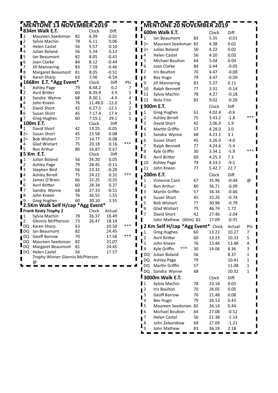| Н                          | MENTONE 13 NOVEMBER 2019                    |          |                |                    |                |                         | <b>MENTONE 20 NOVEMBER 2019</b>      |          |                  |                  |              |
|----------------------------|---------------------------------------------|----------|----------------|--------------------|----------------|-------------------------|--------------------------------------|----------|------------------|------------------|--------------|
|                            | <b>B34m Walk E.T.</b>                       |          | Clock          | Diff.              |                |                         | 600m Walk E.T.                       |          | <b>Clock</b>     | Diff.            |              |
| $\mathbf{1}$               | Maureen Seedsman                            | 82       | 6.39           | $-0.01$            |                | $\mathbf{1}$            | Ian Beaumont                         | 83       | 5.35             | $-0.01$          |              |
| $\mathbf{I}^2$             | Sylvia Machin                               | 78       | 6.11           | 0.06               |                | $2=$                    | Maureen Seedsman 82                  |          | 4.38             | 0.02             |              |
| 3                          | Helen Castel                                | 56       | 5.57           | 0.10               |                | $2=$                    | Julian Boland                        | 56       | 4.22             | 0.02             |              |
| $\mathbf{I}_4$             | Julian Boland                               | 56       | 5.34           | 0.12               |                | 4                       | <b>Helen Castel</b>                  | 56       | 4.20             | 0.03             |              |
| $\mathsf{I}$               | Ian Beaumont                                | 82       | 8.05           | $-0.41$            |                | 5                       | Michael Boulton                      | 64       | 5.04             | 0.04             |              |
| $\mathsf{I}^6$<br>7        | Joan Clarke<br><b>Jill Mannering</b>        | 84<br>83 | 8.12<br>7.59   | $-0.44$<br>$-0.46$ |                | $6\overline{6}$         | Joan Clarke                          | 84       | 5.44             | $-0.05$          |              |
| $\mathbf{I}_8$             | Margaret Beaumont                           | 81       | 8.05           | $-0.51$            |                | 7                       | Iris Boulton                         | 70       | 4.47             | $-0.08$          |              |
| $\blacksquare$             | Karen Sharp                                 | 63       | 7.06           | $-6.54$            |                | 8                       | Bev Hugo                             | 79       | 4.47             | $-0.09$          |              |
|                            | 1668m E.T. *Agg Event*                      |          | Clock          | Diff               | Pts            | 9                       | <b>Jill Mannering</b>                | 83       | 5.37             | 0.11             |              |
| $\mathbf 1$                | <b>Ashley Page</b>                          | 79       | 8.48.2         | 0.2                | 7              | 10                      | Ralph Bennett                        | 77       | 3.31             | $-0.14$          |              |
| $\mathbf{I}_2$             | Avril Britter                               | 60       | 8.39.9         | 3.9                | 5              | 11                      | Sylvia Machin                        | 78       | 4.27             | $-0.18$          |              |
| $\blacksquare$             | Sandra Wynne                                | 68       | 8.30.1         | $-4.9$             | 4              | 12                      | Nola Finn                            | 83       | 9.02             | $-0.28$          |              |
| $\mathbf{I}_5^4$           | John Kneen                                  | 76       | 11.48.0        | $-12.0$            | 3              |                         | 900m E.T.                            |          |                  | Diff             |              |
|                            | David Short                                 | 42       | 6.27.5         | $-12.5$            | $\overline{2}$ |                         |                                      |          | Clock            | $-0.6$           |              |
| $\blacksquare$             | Susan Short                                 | 45       | 7.17.4         | 17.4               | 1              | $\mathbf{1}$            | <b>Greg Hughes</b>                   | 61       | 4.02.4<br>3.43.2 | $-1.8$           | ***          |
| $\blacksquare$             | <b>Greg Hughes</b>                          | 60       | 7.55.1         | 29.1               | 1              | 2<br>3                  | <b>Ashley Birrell</b><br>David Short | 75<br>42 | 3.06.9           | 1.9              |              |
| $\mathbf{1}$               | 100m E.T.<br>David Short                    | 42       | Clock<br>13.25 | Diff<br>$-0.05$    |                | l 4                     |                                      | 57       |                  | 3.0              |              |
| $12 =$                     | Susan Short                                 | 45       | 15.58          | 0.08               |                |                         | Martin Griffin                       |          | 4.28.0           | 3.1              |              |
| $2 =$                      | <b>Bob Wishart</b>                          | 77       | 14.77          | $-0.08$            |                | <b>15</b>               | Sandra Wynne<br>Susan Short          | 68       | 4.23.1           | $-4.0$           |              |
| 4                          | <b>Glad Wishart</b>                         | 75       | 20.18          | 0.16               | ***            | 6                       |                                      | 45       | 3.26.0           |                  |              |
| $\mathbf{I}_5$             | Ron Arthur                                  | 80       | 16.87          | 0.67               |                | 7<br>8                  | Ralph Bennett                        | 77       | 4.24.6           | $-5.4$<br>$-5.9$ | ***          |
|                            | <b>15 Km E.T.</b>                           |          | Clock          | Diff               |                | و ا                     | Kyle Griffin                         | 30       | 3.34.1           |                  |              |
| $\mathbf{I}^1$             | Julian Boland                               | 56       | 24.20          | 0.05               |                |                         | Avril Britter                        | 60       | 4.25.3           | 7.3<br>$-9.5$    |              |
| $\overline{\mathbf{c}}$    | <b>Ashley Page</b>                          | 79       | 28.45          | $-0.11$            |                | 10                      | <b>Ashley Page</b>                   | 79<br>77 | 4.33.5           | 22.7             |              |
| $\mathbf{I}_3$             | Stephen Bird                                | 56       | 23.32          | $-0.28$            |                | 11                      | John Kneen                           |          | 5.42.7           |                  |              |
| $\blacksquare$             | <b>Ashley Birrell</b>                       | 75       | 24.22          | 0.32               | ***            |                         | 200m E.T.                            |          | Clock            | Diff.            |              |
| $\frac{5}{5}$<br>6         | James O'Brien                               | 66       | 22.25          | $-0.35$            |                | 1                       | Vivienne Cash                        | 67       | 35.96            | $-0.04$          | @            |
| $\mathbf{I}$ 7             | Avril Britter<br>Sandra Wynne               | 60<br>68 | 28.34<br>27.33 | 0.37<br>$-0.51$    |                | $\overline{2}$          | Ron Arthur                           | 80       | 36.71            | $-0.09$          |              |
| 18                         | John Kneen                                  | 76       | 36.55          | 1.55               |                | <b>3</b>                | Martin Griffin                       | 57       | 34.34            | $-0.66$          |              |
| -9                         | <b>Greg Hughes</b>                          | 60       | 30.10          | 3.55               |                | $\overline{4}$          | Susan Short                          | 45       | 33.26            | $-0.74$          |              |
|                            | 2.5Km Walk Self H/cap *Agg Event*           |          |                |                    |                | 5                       | <b>Bob Wishart</b>                   | 77       | 30.96            | $-0.79$          |              |
|                            | Frank Kealy Trophy 2                        |          | Clock          | Actual             |                | 6                       | Glad Wishart                         | 75       | 46.74            | 1.72             |              |
| $\blacksquare$             | Sylvia Machin                               | 78       | 26.37          | 18.49              |                | l 7                     | David Short                          | 42       | 27.46            | $-2.04$          |              |
| 2                          | Glennis McPherson                           | 73       | 26.47          | 18.14              |                |                         | John Mathew (60m) 82                 |          | 17.09            | $-0.91$          |              |
|                            | DQ Karen Sharp                              | 63       |                | 20.50              | ***            |                         | 2 Km Self H/cap *Agg Event* Clock    |          |                  | Actual           | Pts          |
|                            | DQ Ian Beaumont                             | 82       |                | 24.45              | $***$          | 1                       | <b>Greg Hughes</b>                   | 60       | 13.22            | 10.27            | 7            |
|                            | DQ Geoff Barrow                             | 70       |                | 17.58              |                | 2                       | <b>Avril Britter</b>                 | 60       | 13.23            | 10.33            | 5            |
| $\mathbf{I}_{\mathsf{DQ}}$ | DQ Maureen Seedsman<br>Margaret Beaumont 81 | 82       |                | 21.07<br>24.45     |                | 3                       | John Kneen                           | 76       | 13.48            | 13.48            | 4            |
| $\overline{\mathsf{I}}$ DQ | <b>Helen Castel</b>                         | 56       |                | 17.57              |                | ▌4                      | ***<br>Kyle Griffin                  | 30       | 14.06            | 8.36             | 3            |
|                            | Trophy Winner Glennis McPherson             |          |                |                    |                | I DQ                    | Julian Boland                        | 56       |                  | 8.37             | 1            |
|                            |                                             |          |                |                    |                | DQ                      | <b>Ashley Page</b>                   | 79       |                  | 10.41            | 1            |
|                            |                                             |          |                |                    |                | DQ                      | Martin Griffin                       | 57       |                  | 11.08            | 1            |
|                            |                                             |          |                |                    |                | DQ                      | Sandra Wynne                         | 68       |                  | 10.32            | $\mathbf{1}$ |
|                            |                                             |          |                |                    |                |                         | 3000m Walk E.T.                      |          | Clock            | Diff.            |              |
|                            |                                             |          |                |                    |                | $\mathbf{1}$            | Sylvia Machin                        | 78       | 23.18            | 0.03             |              |
|                            |                                             |          |                |                    |                | $\sqrt{2}$              | Iris Boulton                         | 70       | 26.05            | 0.05             |              |
|                            |                                             |          |                |                    |                | 3                       | <b>Geoff Barrow</b>                  | 70       | 21.48            | 0.08             |              |
|                            |                                             |          |                |                    |                | $\overline{\mathbf{4}}$ | Bev Hugo                             | 79       | 26.13            | 0.43             |              |
|                            |                                             |          |                |                    |                | $\mathbf{I}_5$          | Maureen Seedsman                     | 82       | 26.14            | 0.44             |              |
|                            |                                             |          |                |                    |                | $\blacksquare$          | Michael Boulton                      | 64       | 27.08            | $-0.52$          |              |
|                            |                                             |          |                |                    |                | $\overline{7}$          | <b>Helen Castel</b>                  | 56       | 21.38            | $-1.14$          |              |
|                            |                                             |          |                |                    |                | 8                       | John Zeleznikow                      | 69       | 27.09            | $-1.21$          |              |
|                            |                                             |          |                |                    |                | 9                       | John Mathew                          | 83       | 36.18            | 2.18             |              |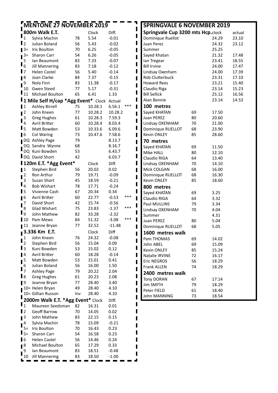|                  |                   | <b>MENTONE 27 NOVEMBER 2019</b>          |     |         |          |       | <b>SPRINGVALE 6 NOVEMBER 2019</b> |    |       |        |
|------------------|-------------------|------------------------------------------|-----|---------|----------|-------|-----------------------------------|----|-------|--------|
|                  |                   | 800m Walk E.T.                           |     | Clock   | Diff.    |       | Springvale Cup 3200 mts Hcp.clock |    |       | actual |
|                  | $\mathbf 1$       | Sylvia Machin                            | 78  | 5.54    | $-0.01$  | ı     | Dominique Ruellot                 |    | 24.29 | 23.10  |
| $\mathsf{I}$ 2   |                   | Julian Boland                            | 56  | 5.43    | $-0.02$  | ı     | Juan Perez                        |    | 24.32 | 23.12  |
|                  | $\blacksquare$ 3= | Iris Boulton                             | 70  | 6.25    | $-0.05$  | п     | Summer                            |    | 25.25 |        |
|                  | $\mathbf{I}^{3=}$ | Sharon Carr                              | 54  | 6.26    | $-0.05$  |       | Sayed Khatan                      |    | 21.32 | 17.48  |
|                  | 5                 | lan Beaumont                             | 83  | 7.33    | $-0.07$  |       | lan Tregear                       |    | 23.41 | 18.55  |
| $\mathbf{I}_{6}$ |                   | <b>Jill Mannering</b>                    | 83  | 7.18    | $-0.12$  | п     | <b>Bill Irvine</b>                |    | 24.00 | 17.47  |
| $\mathbf{I}$     |                   | <b>Helen Castel</b>                      | 56  | 5.40    | $-0.14$  | ı     | Lindsay Oxenham                   |    | 24.00 | 17.39  |
| 18               |                   | Joan Clarke                              | 84  | 7.37    | $-0.15$  | п     | Rob Clutterbuck                   |    | 23.31 | 17.10  |
| $\mathbf{I}^9$   |                   | Nola Finn                                | 83  | 11.38   | $-0.17$  |       | <b>Howard Rees</b>                |    | 23.21 | 15.40  |
|                  | 10                | Gwen Steed                               | 77  | 5.17    | $-0.31$  |       | Claudio Riga                      |    | 23.14 | 15.23  |
|                  | 11                | Michael Boulton                          | 65  | 6.41    | 1.33     |       | <b>Bill Sellick</b>               |    | 25.12 | 16.56  |
|                  | $\mathbf{I}_1$    | Mile Self H/cap *Agg Event* Clock Actual |     |         |          |       | Alan Bennie                       |    | 23.14 | 14.53  |
| $\mathbf{I}$     |                   | <b>Ashley Birrell</b>                    | 75  | 10.28.1 | 6.56.1   | $***$ | 100 metres                        |    |       |        |
| $\blacksquare$   |                   | John Kneen                               | 77  | 10.28.2 | 10.28.2  |       | Sayed KHATAN                      | 69 | 17.50 |        |
|                  | 3                 | <b>Greg Hughes</b>                       | 61  | 10.28.3 | 7.59.3   |       | Juan PEREZ                        | 80 | 20.60 |        |
|                  | $\overline{4}$    | Avril Britter                            | 60  | 10.28.4 | 8.03.4   | ı     | Lindsay OXENHAM                   | 70 | 21.00 |        |
| $\mathbf{I}_5$   |                   | Matt Bowden                              | 53  | 10.33.6 | 6.09.6   | ı     | Dominique RUELLOT                 | 68 | 23.90 |        |
| $\blacksquare$   |                   | <b>Col Waring</b>                        | 73  | 10.47.6 | 7.58.6   | ı     | Kevin ONLEY                       | 85 | 28.60 |        |
|                  |                   | DQ Ashley Page                           | 79  |         | 8.13.7   |       | 70 metres                         |    |       |        |
|                  |                   | DQ Sandra Wynne                          | 68  |         | 8.16.7   | ı     | Sayed KHATAN                      | 69 | 11.50 |        |
|                  |                   | DQ Kuni Bowden                           | 53  |         | 6.43.7   |       | Mike HALL                         | 80 | 12.10 |        |
|                  |                   | DQ David Short                           | 42  |         | 6.03.7   | ı     | Claudio RIGA                      | 64 | 13.40 |        |
|                  |                   | 120m E.T. *Agg Event*                    |     | Clock   | Diff.    | ı     | Lindsay OXENHAM                   | 70 | 14.10 |        |
| $\blacksquare$   |                   | Stephen Bird                             | 56  | 20.02   | 0.02     |       | Mick COLGAN                       | 68 | 16.00 |        |
| $\mathbb{I}^2$   |                   | Ron Arthur                               | 79  | 19.71   | $-0.09$  |       | Dominique RUELLOT                 | 68 | 16.30 |        |
|                  | 3                 | Susan Short                              | 45  | 18.59   | $-0.21$  |       | Kevin ONLEY                       | 85 | 18.60 |        |
| $\mathbf{I}_4$   |                   | <b>Bob Wishart</b>                       | 78  | 17.71   | $-0.24$  |       | 800 metres                        |    |       |        |
| $\mathbf{I}$     |                   | Vivienne Cash                            | 67  | 20.34   | 0.34     |       | Sayed KHATAN                      | 69 | 3.25  |        |
| $\blacksquare$   |                   | Avril Britter                            | 60  | 22.77   | $-0.53$  | ***   | Claudio RIGA                      | 64 | 3.32  |        |
| $\mathbf{I}^7$   |                   | David Short                              | 42  | 15.74   | $-0.56$  |       | Paul MULLINS                      | 79 | 3.34  |        |
|                  | 8                 | Glad Wishart                             | 75  | 23.83   | $-1.37$  | $***$ | Lindsay OXENHAM                   | 70 | 4.04  |        |
| $\mathbf{I}_9$   |                   | John Mathew                              | 82  | 33.28   | $-2.32$  |       | Summer                            |    | 4.31  |        |
|                  | $\blacksquare$ 10 | Pam Mews                                 | 84  | 51.32   | $-3.08$  | ***   | Juan PEREZ                        | 80 | 5.04  |        |
|                  | $\blacksquare$ 11 | Jeanne Bryan                             | 77  | 32.52   | $-11.48$ |       | Dominique RUELLOT                 | 68 | 5.05  |        |
|                  |                   | 3.336 Km E.T.                            |     | Clock   | Diff     |       | 1600 metres walk                  |    |       |        |
|                  | $\mathbf{1}$      | John Kneen                               | 76  | 24.32   | $-0.08$  |       | Pam THOMAS                        | 69 | 14.02 |        |
|                  | $\overline{2}$    | Stephen Bird                             | 56  | 15.04   | 0.09     |       | John ABEL                         | 69 | 15.09 |        |
| $\mathbf{I}_3$   |                   | Kuni Bowden                              | 53  | 15.02   | 0.12     |       | Kevin ONLEY                       | 85 | 15.24 |        |
| $\blacksquare$   |                   | Avril Britter                            | 60  | 18.28   | $-0.14$  |       | Natalie IRVINE                    | 72 | 16.17 |        |
| 1 <sup>5</sup>   |                   | Matt Bowden                              | 53  | 15.01   | 0.41     |       | Eric NEGROS                       | 56 | 18.29 |        |
| Ц                | 6                 | Julian Boland                            | 56  | 16.00   | 1.50     |       | Frank ALLEN                       | 74 | 18.29 |        |
|                  | $\overline{7}$    | Ashley Page                              | 79  | 20.22   | 2.04     |       | 2400 metres walk                  |    |       |        |
| $\mathbf{I}$ 8   |                   | <b>Greg Hughes</b>                       | 61  | 20.23   | 2.08     |       | Tony DORAN                        | 67 | 17.14 |        |
| $\blacksquare$   |                   | Jeanne Bryan                             | 77  | 28.40   | 3.40     |       | <b>Jim SMITH</b>                  | 79 | 18.29 |        |
|                  |                   | 10= Helen Bryan                          | 49  | 28.40   | 4.10     |       | Peter FIELD                       | 61 | 18.40 |        |
|                  |                   | 10= Gillian Russon                       | Inv | 28.40   | 4.10     |       | John MANNING                      | 73 | 18.54 |        |
|                  |                   | 2000m Walk E.T. *Agg Event* Clock        |     |         | Diff.    |       |                                   |    |       |        |
| $\mathbf{I}_1$   |                   | Maureen Seedsman                         | 82  | 16.31   | 0.01     |       |                                   |    |       |        |
| $\mathbf{I}$     |                   | Geoff Barrow                             | 70  | 14.05   | 0.02     |       |                                   |    |       |        |
| $\blacksquare$   |                   | John Mathew                              | 83  | 22.15   | 0.15     |       |                                   |    |       |        |
|                  | 4                 | Sylvia Machin                            | 78  | 15.09   | $-0.21$  |       |                                   |    |       |        |
|                  | $5=$              | Iris Boulton                             | 70  | 16.43   | 0.23     |       |                                   |    |       |        |
|                  | $\mathbf{I}_{5=}$ | Sharon Carr                              | 54  | 16.58   | 0.23     |       |                                   |    |       |        |
| $\blacksquare$   |                   | <b>Helen Castel</b>                      | 56  | 14.46   | 0.24     |       |                                   |    |       |        |
| $1^8$            |                   | Michael Boulton                          | 65  | 17.29   | 0.33     |       |                                   |    |       |        |
|                  | 9                 | Ian Beaumont                             | 83  | 18.51   | $-0.48$  |       |                                   |    |       |        |
|                  | 10                | <b>Jill Mannering</b>                    | 83  | 18.50   | $-1.00$  |       |                                   |    |       |        |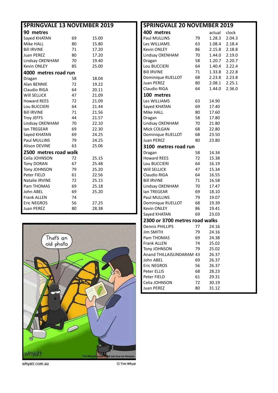| <b>SPRINGVALE 13 NOVEMBER 2019</b> |    |       |
|------------------------------------|----|-------|
| 90 metres                          |    |       |
| Sayed KHATAN                       | 69 | 15.00 |
| Mike HALL                          | 80 | 15.80 |
| <b>Bill IRVINE</b>                 | 71 | 17.20 |
| <b>Juan PEREZ</b>                  | 80 | 17.20 |
| Lindsay OXENHAM                    | 70 | 19.40 |
| <b>Kevin ONLEY</b>                 | 85 | 25.00 |
| 4000 metres road run               |    |       |
| Dragan                             | 58 | 18.04 |
| Alan BENNIE                        | 72 | 19.22 |
| Claudio RIGA                       | 64 | 20.11 |
| Will SELLICK                       | 47 | 21.09 |
| <b>Howard REES</b>                 | 72 | 21.09 |
| Lou BUCCIERI                       | 64 | 21.44 |
| <b>Bill IRVINE</b>                 | 71 | 21.56 |
| <b>Troy JEFFS</b>                  | 44 | 21.57 |
| Lindsay OXENHAM                    | 70 | 22.10 |
| <b>Ian TREGEAR</b>                 | 69 | 22.30 |
| Sayed KHATAN                       | 69 | 24.25 |
| <b>Paul MULLINS</b>                | 79 | 24.25 |
| <b>Alison DEVINE</b>               | 63 | 25.06 |
| 2500 metres road walk              |    |       |
| Celia JOHNSON                      | 72 | 25.15 |
| <b>Tony DORAN</b>                  | 67 | 25.48 |
| Tony JOHNSON                       | 79 | 25.20 |
| Peter FIELD                        | 61 | 22.56 |
| Natalie IRVINE                     | 72 | 25.15 |
| Pam THOMAS                         | 69 | 25.18 |
| John ABEL                          | 69 | 25.20 |
| <b>Frank ALLEN</b>                 | 74 |       |
| <b>Eric NEGROS</b>                 | 56 | 27.25 |
| <b>Juan PEREZ</b>                  | 80 | 28.38 |



whyatt.com.au

**SPRINGVALE 20 NOVEMBER 2019 400 metres** actual clock<br>
Paul MULLINS 79 1.28.3 2.04.3 79 1.28.3 2.04.3 Les WILLIAMS 63 1.08.4 2.18.4 Kevin ONLEY 86 2.15.8 2.18.8 Lindsay OXENHAM 70 1.44.0 2.19.0 Dragan 58 1.20.7 2.20.7 Lou BUCCIERI 64 1.40.4 2.22.4 Bill IRVINE 71 1.33.8 2.22.8 Dominique RUELLOT 68 2.23.8 2.23.8 Juan PEREZ 80 2.08.1 2.25.1 Claudio RIGA 64 1.44.0 2.36.0 **100 metres** Les WILLIAMS 63 14.90 Sayed KHATAN 69 17.40 Mike HALL 80 17.60 Dragan 58 17.80 Lindsay OXENHAM 70 21.80 Mick COLGAN 68 22.80 Dominique RUELLOT 68 23.50 Juan PEREZ 80 23.80 **3100 metres road run**<br>Dragan 58 Dragan 58 14.34 Howard REES 72 15.38 Lou BUCCIERI 64 16.19 Will SELLICK 47 15.34 Claudio RIGA 64 16.55 BILL IRVINE 71 16.58 Lindsay OXENHAM 70 17.47 **Ian TREGEAR** 69 18.10<br> **Paul MULLINS** 79 19.07 Paul MULLINS 79 19.07 Dominique RUELLOT 68 19.39 Kevin ONLEY 86 19.41 Saved KHATAN 69 23.03 **2300 or 3700 metres road walks** Dennis PHILLIPS 77 24.16 Jim SMITH 79 24.16 Pam THOMAS 69 24.38 Frank ALLEN 74 25.02 Tony JOHNSON 79 25.02 Anand THILLAISUNDARAM 43 26.37

John ABEL 69 26.37 Eric NEGROS 56 26.37 Peter ELLIS 68 28.23 Peter FIELD 61 29.31 Celia JOHNSON 72 30.19 Juan PEREZ 80 31.12

© Tim Whyat